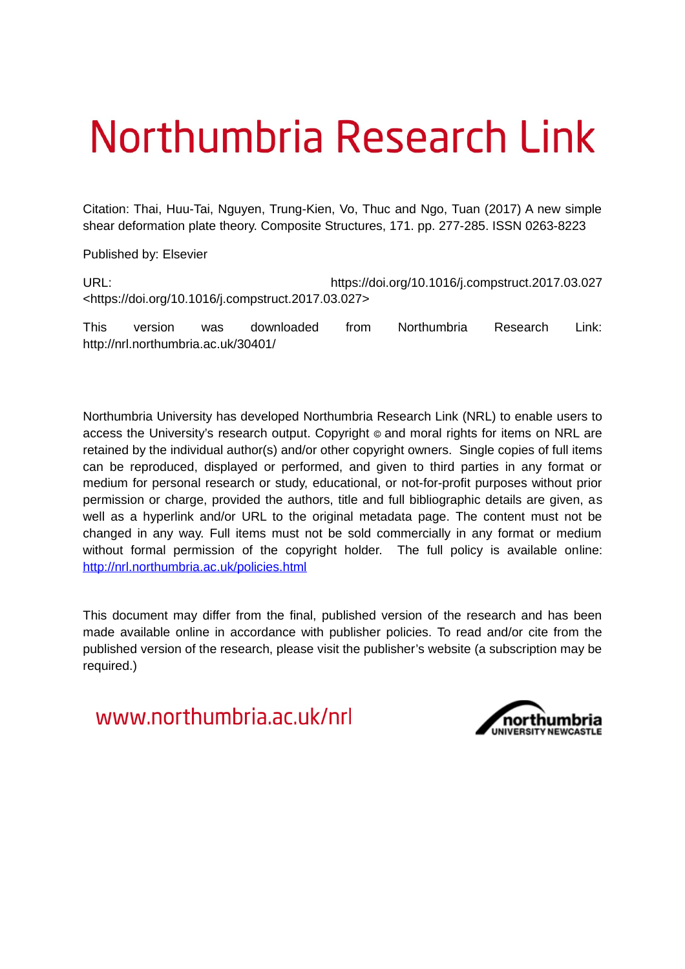# Northumbria Research Link

Citation: Thai, Huu-Tai, Nguyen, Trung-Kien, Vo, Thuc and Ngo, Tuan (2017) A new simple shear deformation plate theory. Composite Structures, 171. pp. 277-285. ISSN 0263-8223

Published by: Elsevier

URL: https://doi.org/10.1016/j.compstruct.2017.03.027 <https://doi.org/10.1016/j.compstruct.2017.03.027>

This version was downloaded from Northumbria Research Link: http://nrl.northumbria.ac.uk/30401/

Northumbria University has developed Northumbria Research Link (NRL) to enable users to access the University's research output. Copyright  $\circ$  and moral rights for items on NRL are retained by the individual author(s) and/or other copyright owners. Single copies of full items can be reproduced, displayed or performed, and given to third parties in any format or medium for personal research or study, educational, or not-for-profit purposes without prior permission or charge, provided the authors, title and full bibliographic details are given, as well as a hyperlink and/or URL to the original metadata page. The content must not be changed in any way. Full items must not be sold commercially in any format or medium without formal permission of the copyright holder. The full policy is available online: <http://nrl.northumbria.ac.uk/policies.html>

This document may differ from the final, published version of the research and has been made available online in accordance with publisher policies. To read and/or cite from the published version of the research, please visit the publisher's website (a subscription may be required.)

www.northumbria.ac.uk/nrl

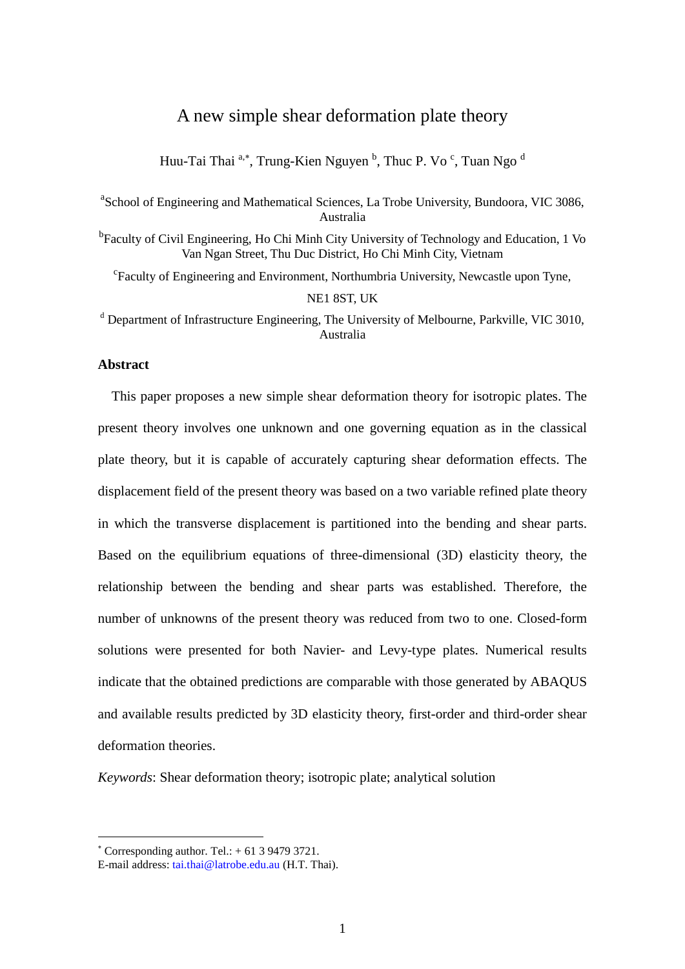# A new simple shear deformation plate theory

Huu-Tai Thai <sup>a,\*</sup>, Trung-Kien Nguyen <sup>b</sup>, Thuc P. Vo <sup>c</sup>, Tuan Ngo <sup>d</sup>

<sup>a</sup>School of Engineering and Mathematical Sciences, La Trobe University, Bundoora, VIC 3086, Australia

<sup>b</sup>Faculty of Civil Engineering, Ho Chi Minh City University of Technology and Education, 1 Vo Van Ngan Street, Thu Duc District, Ho Chi Minh City, Vietnam

<sup>c</sup>Faculty of Engineering and Environment, Northumbria University, Newcastle upon Tyne, NE1 8ST, UK

<sup>d</sup> Department of Infrastructure Engineering, The University of Melbourne, Parkville, VIC 3010, Australia

#### **Abstract**

This paper proposes a new simple shear deformation theory for isotropic plates. The present theory involves one unknown and one governing equation as in the classical plate theory, but it is capable of accurately capturing shear deformation effects. The displacement field of the present theory was based on a two variable refined plate theory in which the transverse displacement is partitioned into the bending and shear parts. Based on the equilibrium equations of three-dimensional (3D) elasticity theory, the relationship between the bending and shear parts was established. Therefore, the number of unknowns of the present theory was reduced from two to one. Closed-form solutions were presented for both Navier- and Levy-type plates. Numerical results indicate that the obtained predictions are comparable with those generated by ABAQUS and available results predicted by 3D elasticity theory, first-order and third-order shear deformation theories.

*Keywords*: Shear deformation theory; isotropic plate; analytical solution

<u>.</u>

 $^*$  Corresponding author. Tel.:  $+$  61 3 9479 3721.

E-mail address: [tai.thai@latrobe.edu.au](mailto:tai.thai@latrobe.edu.au) (H.T. Thai).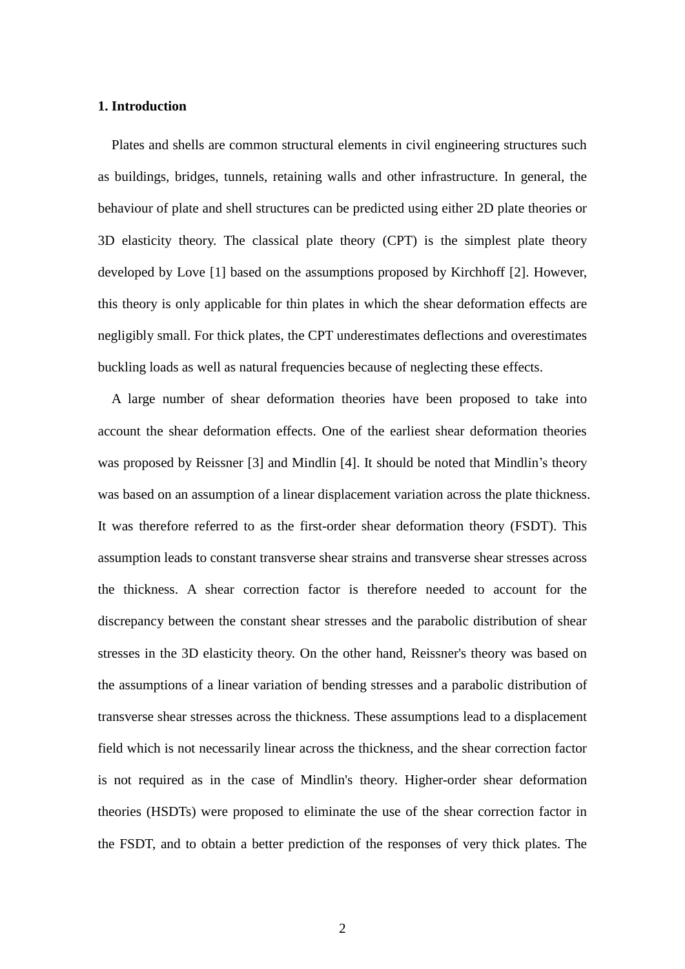#### **1. Introduction**

Plates and shells are common structural elements in civil engineering structures such as buildings, bridges, tunnels, retaining walls and other infrastructure. In general, the behaviour of plate and shell structures can be predicted using either 2D plate theories or 3D elasticity theory. The classical plate theory (CPT) is the simplest plate theory developed by Love [1] based on the assumptions proposed by Kirchhoff [2]. However, this theory is only applicable for thin plates in which the shear deformation effects are negligibly small. For thick plates, the CPT underestimates deflections and overestimates buckling loads as well as natural frequencies because of neglecting these effects.

A large number of shear deformation theories have been proposed to take into account the shear deformation effects. One of the earliest shear deformation theories was proposed by Reissner [3] and Mindlin [4]. It should be noted that Mindlin's theory was based on an assumption of a linear displacement variation across the plate thickness. It was therefore referred to as the first-order shear deformation theory (FSDT). This assumption leads to constant transverse shear strains and transverse shear stresses across the thickness. A shear correction factor is therefore needed to account for the discrepancy between the constant shear stresses and the parabolic distribution of shear stresses in the 3D elasticity theory. On the other hand, Reissner's theory was based on the assumptions of a linear variation of bending stresses and a parabolic distribution of transverse shear stresses across the thickness. These assumptions lead to a displacement field which is not necessarily linear across the thickness, and the shear correction factor is not required as in the case of Mindlin's theory. Higher-order shear deformation theories (HSDTs) were proposed to eliminate the use of the shear correction factor in the FSDT, and to obtain a better prediction of the responses of very thick plates. The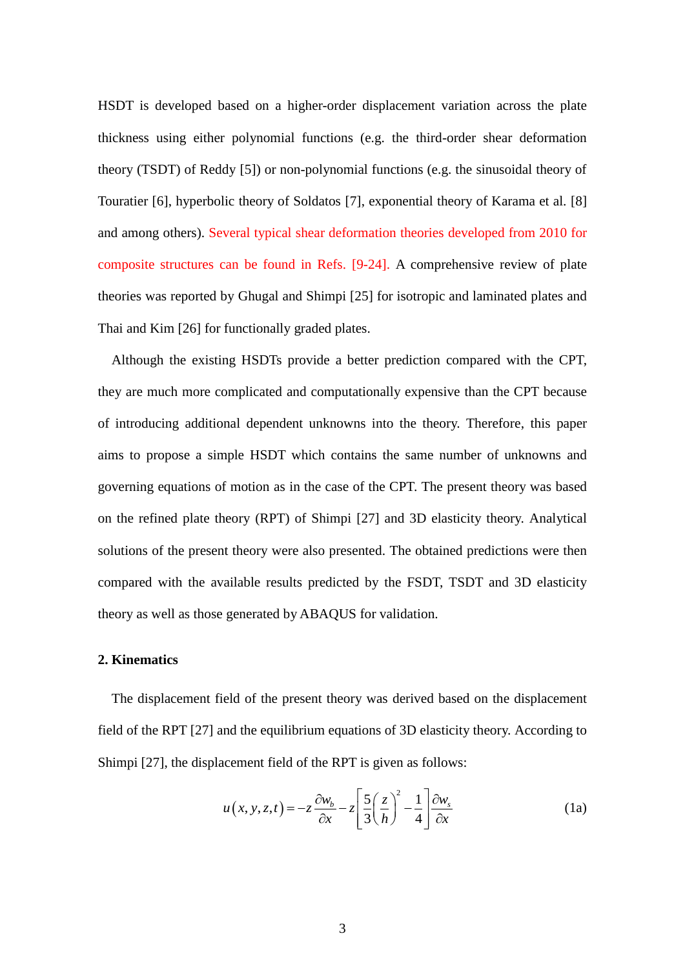HSDT is developed based on a higher-order displacement variation across the plate thickness using either polynomial functions (e.g. the third-order shear deformation theory (TSDT) of Reddy [5]) or non-polynomial functions (e.g. the sinusoidal theory of Touratier [6], hyperbolic theory of Soldatos [7], exponential theory of Karama et al. [8] and among others). Several typical shear deformation theories developed from 2010 for composite structures can be found in Refs. [9-24]. A comprehensive review of plate theories was reported by Ghugal and Shimpi [25] for isotropic and laminated plates and Thai and Kim [26] for functionally graded plates.

Although the existing HSDTs provide a better prediction compared with the CPT, they are much more complicated and computationally expensive than the CPT because of introducing additional dependent unknowns into the theory. Therefore, this paper aims to propose a simple HSDT which contains the same number of unknowns and governing equations of motion as in the case of the CPT. The present theory was based on the refined plate theory (RPT) of Shimpi [27] and 3D elasticity theory. Analytical solutions of the present theory were also presented. The obtained predictions were then compared with the available results predicted by the FSDT, TSDT and 3D elasticity theory as well as those generated by ABAQUS for validation.

#### **2. Kinematics**

The displacement field of the present theory was derived based on the displacement field of the RPT [27] and the equilibrium equations of 3D elasticity theory. According to Shimpi [27], the displacement field of the RPT is given as follows:

$$
u(x, y, z, t) = -z \frac{\partial w_b}{\partial x} - z \left[ \frac{5}{3} \left( \frac{z}{h} \right)^2 - \frac{1}{4} \right] \frac{\partial w_s}{\partial x}
$$
(1a)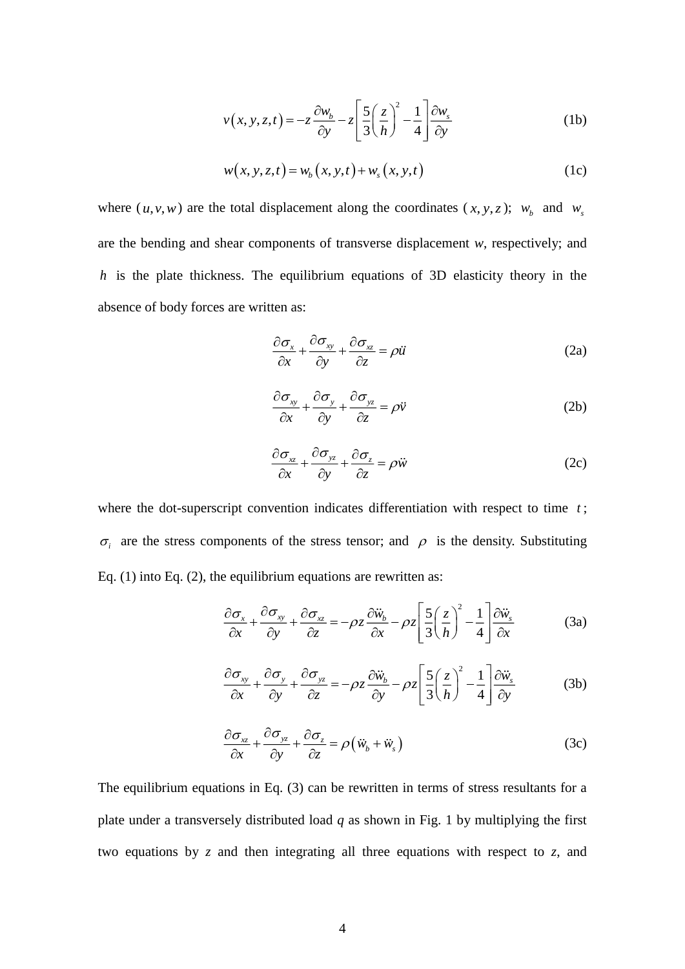$$
v(x, y, z, t) = -z \frac{\partial w_b}{\partial y} - z \left[ \frac{5}{3} \left( \frac{z}{h} \right)^2 - \frac{1}{4} \right] \frac{\partial w_s}{\partial y}
$$
(1b)

$$
w(x, y, z, t) = w_b(x, y, t) + w_s(x, y, t)
$$
 (1c)

where  $(u, v, w)$  are the total displacement along the coordinates  $(x, y, z)$ ;  $w_b$  and  $w_s$ are the bending and shear components of transverse displacement *w*, respectively; and *h* is the plate thickness. The equilibrium equations of 3D elasticity theory in the absence of body forces are written as:

$$
\frac{\partial \sigma_x}{\partial x} + \frac{\partial \sigma_{xy}}{\partial y} + \frac{\partial \sigma_{xz}}{\partial z} = \rho \ddot{u}
$$
 (2a)

$$
\frac{\partial \sigma_{xy}}{\partial x} + \frac{\partial \sigma_y}{\partial y} + \frac{\partial \sigma_{yz}}{\partial z} = \rho \ddot{v}
$$
 (2b)

$$
\frac{\partial \sigma_{xz}}{\partial x} + \frac{\partial \sigma_{yz}}{\partial y} + \frac{\partial \sigma_z}{\partial z} = \rho \ddot{w}
$$
 (2c)

where the dot-superscript convention indicates differentiation with respect to time t;  $\sigma_i$  are the stress components of the stress tensor; and  $\rho$  is the density. Substituting Eq.  $(1)$  into Eq.  $(2)$ , the equilibrium equations are rewritten as:

$$
\frac{\partial \sigma_x}{\partial x} + \frac{\partial \sigma_{xy}}{\partial y} + \frac{\partial \sigma_{xz}}{\partial z} = -\rho z \frac{\partial \ddot{w}_b}{\partial x} - \rho z \left[ \frac{5}{3} \left( \frac{z}{h} \right)^2 - \frac{1}{4} \right] \frac{\partial \ddot{w}_s}{\partial x}
$$
(3a)

$$
\frac{\partial \sigma_{xy}}{\partial x} + \frac{\partial \sigma_{y}}{\partial y} + \frac{\partial \sigma_{yz}}{\partial z} = -\rho z \frac{\partial \ddot{w}_b}{\partial y} - \rho z \left[ \frac{5}{3} \left( \frac{z}{h} \right)^2 - \frac{1}{4} \right] \frac{\partial \ddot{w}_s}{\partial y}
$$
(3b)

$$
\frac{\partial \sigma_{xz}}{\partial x} + \frac{\partial \sigma_{yz}}{\partial y} + \frac{\partial \sigma_z}{\partial z} = \rho \left( \ddot{w}_b + \ddot{w}_s \right)
$$
(3c)

The equilibrium equations in Eq. (3) can be rewritten in terms of stress resultants for a plate under a transversely distributed load *q* as shown in [Fig. 1](#page-30-0) by multiplying the first two equations by *z* and then integrating all three equations with respect to *z*, and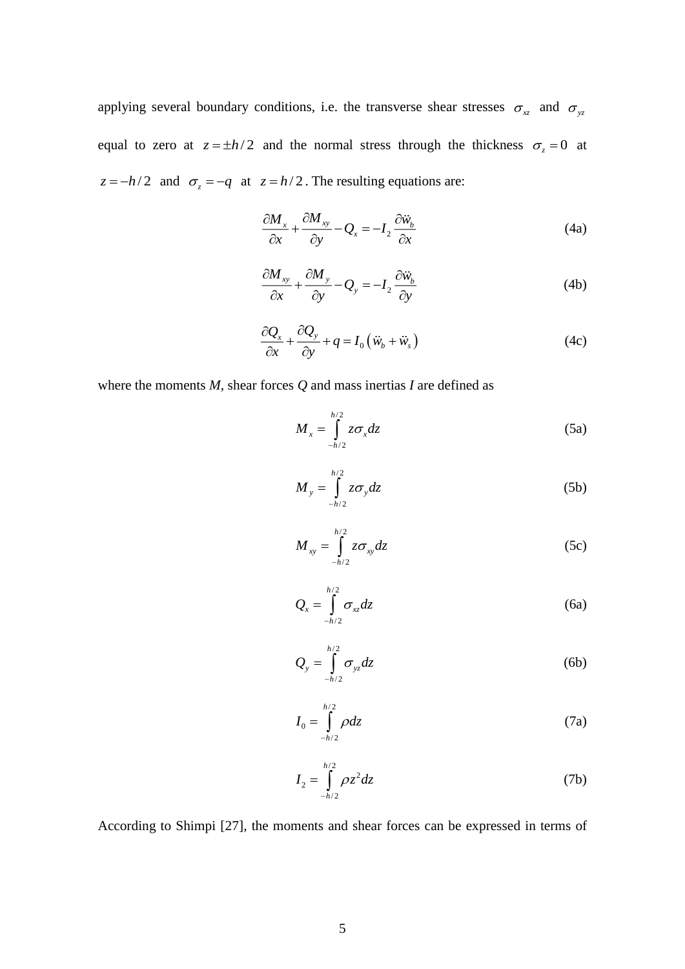applying several boundary conditions, i.e. the transverse shear stresses  $\sigma_{xz}$  and  $\sigma_{yz}$ equal to zero at  $z = \pm h/2$  and the normal stress through the thickness  $\sigma_z = 0$  at  $z = -h/2$  and  $\sigma_z = -q$  at  $z = h/2$ . The resulting equations are:

$$
\frac{\partial M_x}{\partial x} + \frac{\partial M_{xy}}{\partial y} - Q_x = -I_2 \frac{\partial \ddot{w}_b}{\partial x}
$$
 (4a)

$$
\frac{\partial M_{xy}}{\partial x} + \frac{\partial M_y}{\partial y} - Q_y = -I_2 \frac{\partial \ddot{w}_b}{\partial y}
$$
(4b)

$$
\frac{\partial Q_x}{\partial x} + \frac{\partial Q_y}{\partial y} + q = I_0 \left( \ddot{w}_b + \ddot{w}_s \right)
$$
(4c)

where the moments *M*, shear forces *Q* and mass inertias *I* are defined as

$$
M_x = \int_{-h/2}^{h/2} z \sigma_x dz
$$
 (5a)

$$
M_{y} = \int_{-h/2}^{h/2} z \sigma_{y} dz
$$
 (5b)

$$
M_{xy} = \int_{-h/2}^{h/2} z \sigma_{xy} dz
$$
 (5c)

$$
Q_{x} = \int_{-h/2}^{h/2} \sigma_{xz} dz
$$
 (6a)

$$
Q_{y} = \int_{-h/2}^{h/2} \sigma_{yz} dz
$$
 (6b)

$$
I_0 = \int_{-h/2}^{h/2} \rho dz \tag{7a}
$$

$$
I_2 = \int_{-h/2}^{h/2} \rho z^2 dz
$$
 (7b)

According to Shimpi [27], the moments and shear forces can be expressed in terms of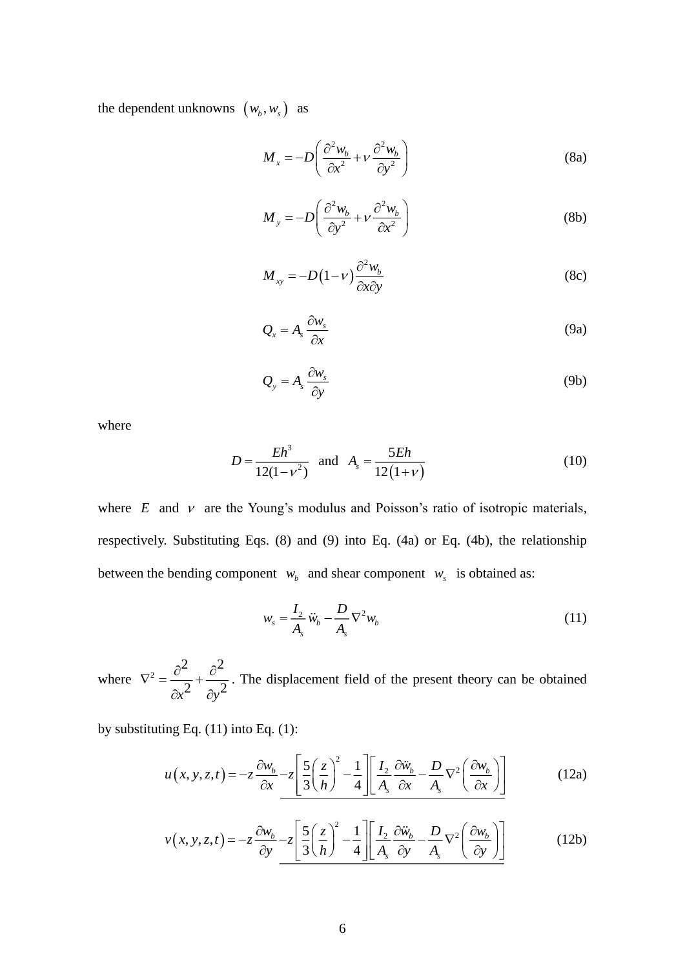the dependent unknowns  $(w_b, w_s)$  as

$$
M_x = -D\left(\frac{\partial^2 w_b}{\partial x^2} + v \frac{\partial^2 w_b}{\partial y^2}\right)
$$
 (8a)

$$
M_{y} = -D\left(\frac{\partial^2 w_b}{\partial y^2} + v \frac{\partial^2 w_b}{\partial x^2}\right)
$$
 (8b)

$$
M_{xy} = -D(1-\nu)\frac{\partial^2 w_b}{\partial x \partial y}
$$
 (8c)

$$
Q_x = A_s \frac{\partial w_s}{\partial x} \tag{9a}
$$

$$
Q_{y} = A_{s} \frac{\partial w_{s}}{\partial y}
$$
 (9b)

where

$$
D = \frac{Eh^3}{12(1 - v^2)} \text{ and } A_s = \frac{5Eh}{12(1 + v)}
$$
 (10)

where  $E$  and  $v$  are the Young's modulus and Poisson's ratio of isotropic materials, respectively. Substituting Eqs. (8) and (9) into Eq. (4a) or Eq. (4b), the relationship between the bending component  $w_b$  and shear component  $w_s$  is obtained as:

$$
w_s = \frac{I_2}{A_s} \ddot{w}_b - \frac{D}{A_s} \nabla^2 w_b \tag{11}
$$

where  $\nabla^2 = \frac{\partial^2}{\partial x^2} + \frac{\partial^2}{\partial y^2}$  $\alpha^2$   $\partial y^2$  $\nabla^2 = \frac{\partial^2}{\partial x^2} + \frac{\partial^2}{\partial y^2}$  $\partial x^2$   $\partial$ . The displacement field of the present theory can be obtained

by substituting Eq. (11) into Eq. (1):

$$
u(x, y, z, t) = -z \frac{\partial w_b}{\partial x} - z \left[ \frac{5}{3} \left( \frac{z}{h} \right)^2 - \frac{1}{4} \right] \left[ \frac{I_2}{A_s} \frac{\partial \ddot{w}_b}{\partial x} - \frac{D}{A_s} \nabla^2 \left( \frac{\partial w_b}{\partial x} \right) \right]
$$
(12a)

$$
v(x, y, z, t) = -z \frac{\partial w_b}{\partial y} - z \left[ \frac{5}{3} \left( \frac{z}{h} \right)^2 - \frac{1}{4} \right] \left[ \frac{I_2}{A_s} \frac{\partial \ddot{w}_b}{\partial y} - \frac{D}{A_s} \nabla^2 \left( \frac{\partial w_b}{\partial y} \right) \right]
$$
(12b)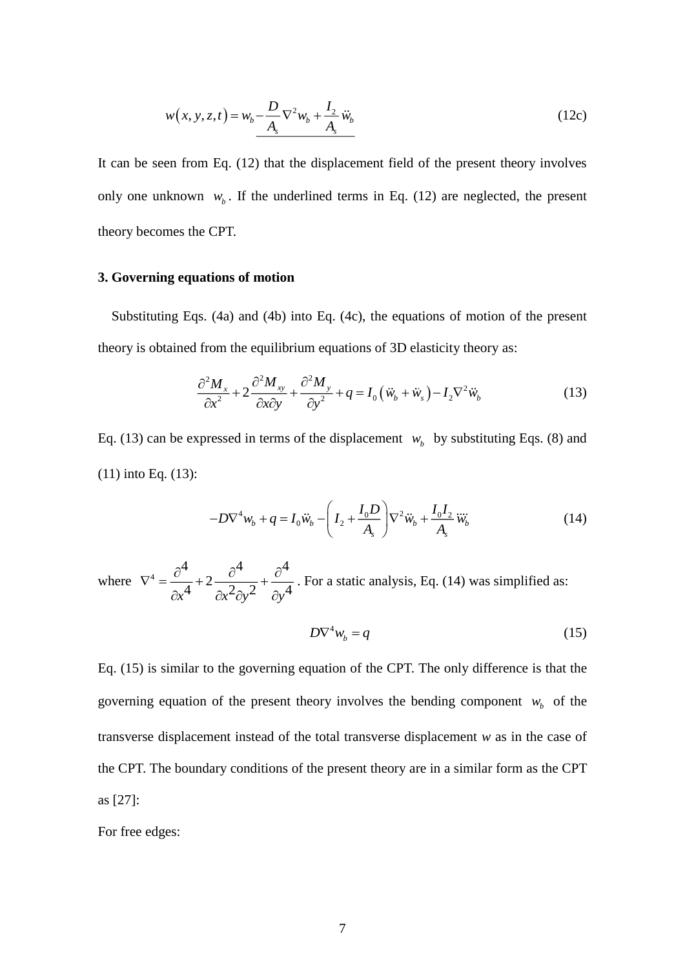$$
w(x, y, z, t) = w_b - \frac{D}{A_s} \nabla^2 w_b + \frac{I_2}{A_s} \ddot{w}_b
$$
 (12c)

It can be seen from Eq. (12) that the displacement field of the present theory involves only one unknown  $w_b$ . If the underlined terms in Eq. (12) are neglected, the present theory becomes the CPT.

#### **3. Governing equations of motion**

Substituting Eqs. (4a) and (4b) into Eq. (4c), the equations of motion of the present theory is obtained from the equilibrium equations of 3D elasticity theory as:

$$
\frac{\partial^2 M_x}{\partial x^2} + 2 \frac{\partial^2 M_{xy}}{\partial x \partial y} + \frac{\partial^2 M_y}{\partial y^2} + q = I_0 \left( \ddot{w}_b + \ddot{w}_s \right) - I_2 \nabla^2 \ddot{w}_b \tag{13}
$$

Eq. (13) can be expressed in terms of the displacement  $w_b$  by substituting Eqs. (8) and (11) into Eq. (13):

$$
-D\nabla^4 w_b + q = I_0 \ddot{w}_b - \left(I_2 + \frac{I_0 D}{A_s}\right) \nabla^2 \ddot{w}_b + \frac{I_0 I_2}{A_s} \dddot{w}_b \tag{14}
$$

where  $\nabla^4 = \frac{\partial^4}{\partial 4} + 2 \frac{\partial^4}{\partial 4} + \frac{\partial^4}{\partial 4}$  $\sqrt{x^4} + 2 \frac{1}{\partial x^2 \partial y^2} + \frac{1}{\partial y^4}$  $\nabla^4 = \frac{\partial^4}{\partial \overline{\partial}^4} + 2 \frac{\partial^4}{\partial \overline{\partial}^4} + \frac{\partial^3}{\partial \overline{\partial}^5}$  $\partial x^+$   $\partial x^2 \partial y^2$   $\partial$ . For a static analysis, Eq. (14) was simplified as:

$$
D\nabla^4 w_b = q \tag{15}
$$

Eq. (15) is similar to the governing equation of the CPT. The only difference is that the governing equation of the present theory involves the bending component  $w_b$  of the transverse displacement instead of the total transverse displacement *w* as in the case of the CPT. The boundary conditions of the present theory are in a similar form as the CPT as [27]:

For free edges: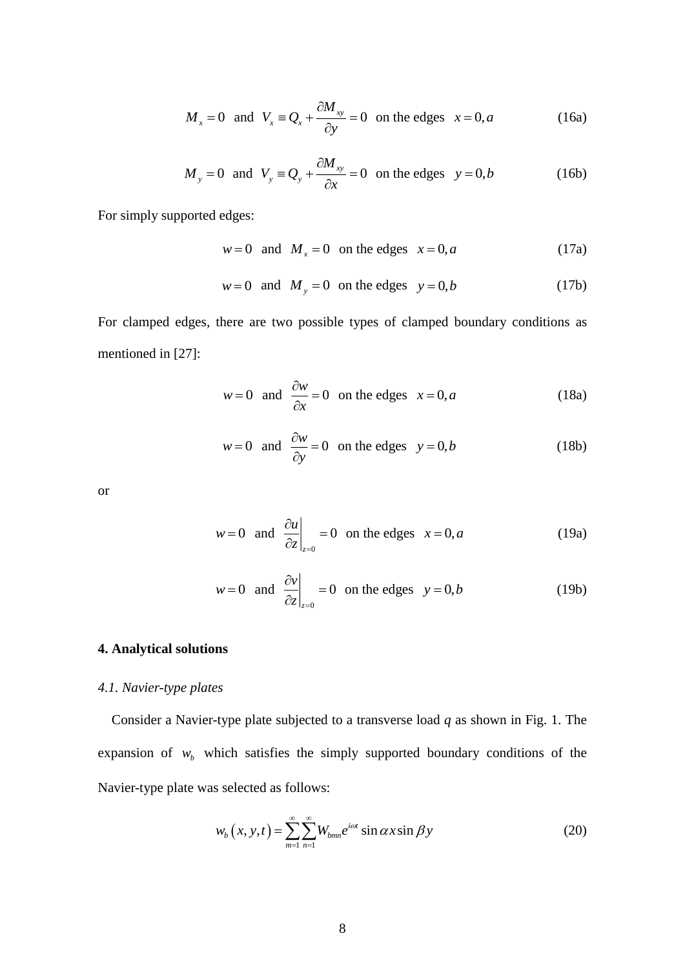$$
M_x = 0
$$
 and  $V_x = Q_x + \frac{\partial M_{xy}}{\partial y} = 0$  on the edges  $x = 0, a$  (16a)

$$
M_y = 0
$$
 and  $V_y = Q_y + \frac{\partial M_{xy}}{\partial x} = 0$  on the edges  $y = 0, b$  (16b)

For simply supported edges:

 $w = 0$  and  $M_x = 0$  on the edges  $x = 0, a$ (17a)

$$
w = 0 \text{ and } M_y = 0 \text{ on the edges } y = 0, b \tag{17b}
$$

For clamped edges, there are two possible types of clamped boundary conditions as mentioned in [27]:

$$
w=0
$$
 and  $\frac{\partial w}{\partial x} = 0$  on the edges  $x = 0, a$  (18a)

$$
w=0
$$
 and  $\frac{\partial w}{\partial y} = 0$  on the edges  $y = 0, b$  (18b)

or

$$
w = 0
$$
 and  $\frac{\partial u}{\partial z}\Big|_{z=0} = 0$  on the edges  $x = 0, a$  (19a)

$$
w = 0
$$
 and  $\frac{\partial v}{\partial z}\Big|_{z=0} = 0$  on the edges  $y = 0, b$  (19b)

## **4. Analytical solutions**

#### *4.1. Navier-type plates*

Consider a Navier-type plate subjected to a transverse load *q* as shown in [Fig. 1.](#page-30-0) The expansion of  $w_b$  which satisfies the simply supported boundary conditions of the Navier-type plate was selected as follows:

$$
w_b(x, y, t) = \sum_{m=1}^{\infty} \sum_{n=1}^{\infty} W_{bmn} e^{i\omega t} \sin \alpha x \sin \beta y
$$
 (20)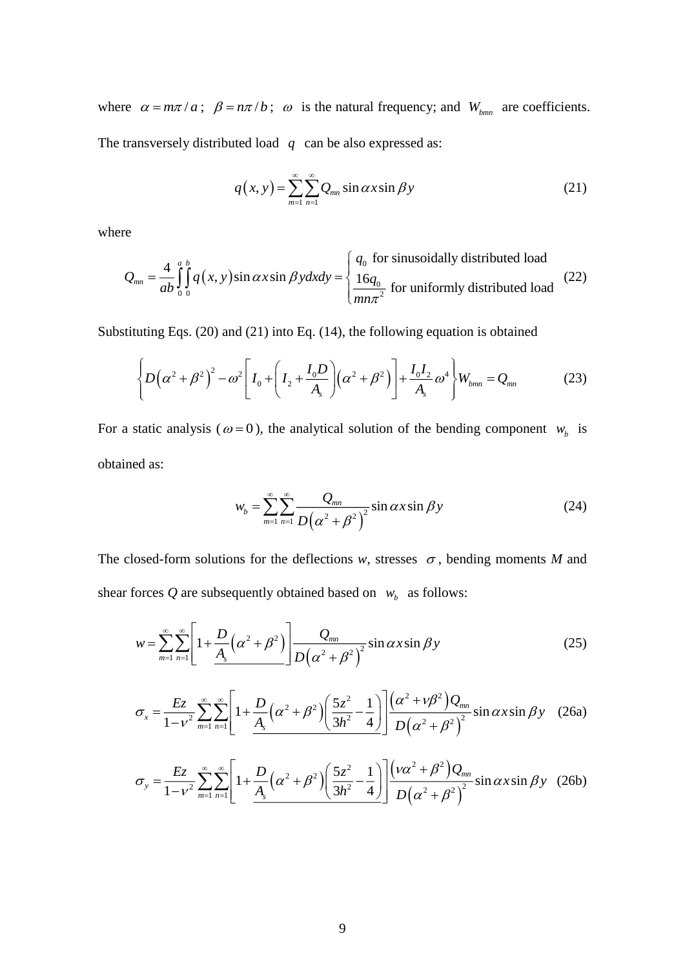where  $\alpha = m\pi/a$ ;  $\beta = n\pi/b$ ;  $\omega$  is the natural frequency; and  $W_{bm}$  are coefficients. The transversely distributed load *q* can be also expressed as:

$$
q(x, y) = \sum_{m=1}^{\infty} \sum_{n=1}^{\infty} Q_{mn} \sin \alpha x \sin \beta y
$$
 (21)

where

$$
Q_{mn} = \frac{4}{ab} \int_0^a \int_0^b q(x, y) \sin \alpha x \sin \beta y dx dy = \begin{cases} q_0 \text{ for sinusoidally distributed load} \\ \frac{16q_0}{mn\pi^2} \text{ for uniformly distributed load} \end{cases}
$$
 (22)

Substituting Eqs. (20) and (21) into Eq. (14), the following equation is obtained

$$
\left\{ D(\alpha^2 + \beta^2)^2 - \omega^2 \left[ I_0 + \left( I_2 + \frac{I_0 D}{A_s} \right) (\alpha^2 + \beta^2) \right] + \frac{I_0 I_2}{A_s} \omega^4 \right\} W_{bm} = Q_{mn}
$$
 (23)

For a static analysis ( $\omega = 0$ ), the analytical solution of the bending component  $w_b$  is obtained as:

$$
w_b = \sum_{m=1}^{\infty} \sum_{n=1}^{\infty} \frac{Q_{mn}}{D(\alpha^2 + \beta^2)^2} \sin \alpha x \sin \beta y
$$
 (24)

The closed-form solutions for the deflections  $w$ , stresses  $\sigma$ , bending moments *M* and shear forces Q are subsequently obtained based on  $w_b$  as follows:

$$
w = \sum_{m=1}^{\infty} \sum_{n=1}^{\infty} \left[ 1 + \frac{D}{A_s} \left( \alpha^2 + \beta^2 \right) \right] \frac{Q_{mn}}{D \left( \alpha^2 + \beta^2 \right)^2} \sin \alpha x \sin \beta y \tag{25}
$$

$$
\sigma_x = \frac{Ez}{1 - v^2} \sum_{m=1}^{\infty} \sum_{n=1}^{\infty} \left[ 1 + \frac{D}{A_s} \left( \alpha^2 + \beta^2 \right) \left( \frac{5z^2}{3h^2} - \frac{1}{4} \right) \right] \frac{\left( \alpha^2 + v\beta^2 \right) Q_{mn}}{D \left( \alpha^2 + \beta^2 \right)^2} \sin \alpha x \sin \beta y \quad (26a)
$$

$$
\sigma_y = \frac{Ez}{1 - v^2} \sum_{m=1}^{\infty} \sum_{n=1}^{\infty} \left[ 1 + \frac{D}{A_s} \left( \alpha^2 + \beta^2 \right) \left( \frac{5z^2}{3h^2} - \frac{1}{4} \right) \right] \frac{\left( v \alpha^2 + \beta^2 \right) Q_{mn}}{D \left( \alpha^2 + \beta^2 \right)^2} \sin \alpha x \sin \beta y \quad (26b)
$$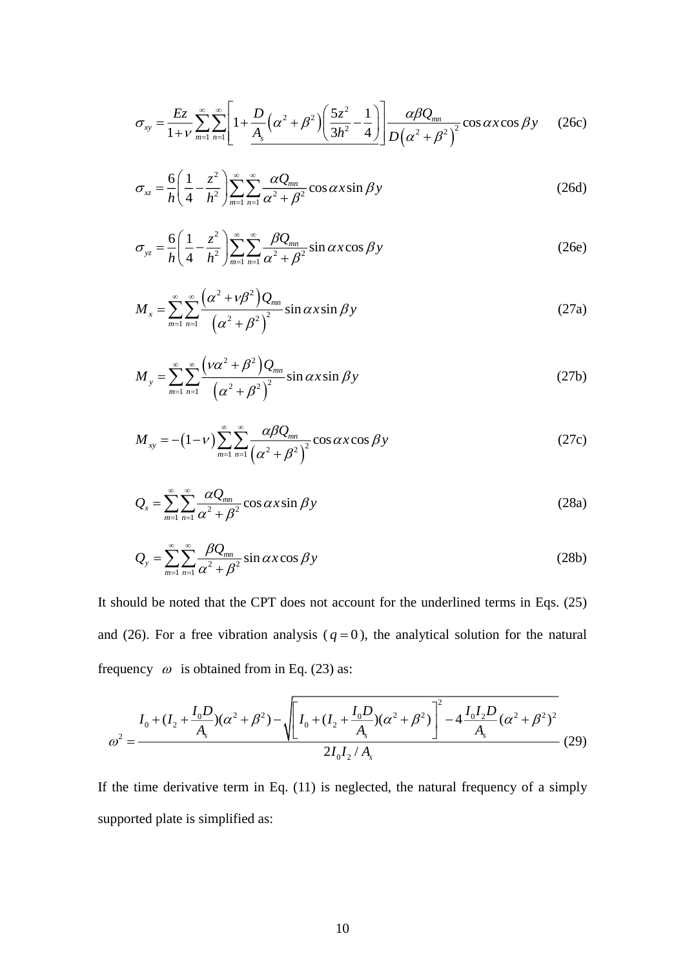$$
\sigma_{xy} = \frac{Ez}{1+\nu} \sum_{m=1}^{\infty} \sum_{n=1}^{\infty} \left[ 1 + \frac{D}{A_s} \left( \alpha^2 + \beta^2 \right) \left( \frac{5z^2}{3h^2} - \frac{1}{4} \right) \right] \frac{\alpha \beta Q_{mn}}{D \left( \alpha^2 + \beta^2 \right)^2} \cos \alpha x \cos \beta y \tag{26c}
$$

$$
\sigma_{xz} = \frac{6}{h} \left( \frac{1}{4} - \frac{z^2}{h^2} \right) \sum_{m=1}^{\infty} \sum_{n=1}^{\infty} \frac{\alpha Q_{mn}}{\alpha^2 + \beta^2} \cos \alpha x \sin \beta y \tag{26d}
$$

$$
\sigma_{yz} = \frac{6}{h} \left( \frac{1}{4} - \frac{z^2}{h^2} \right) \sum_{m=1}^{\infty} \sum_{n=1}^{\infty} \frac{\beta Q_{mn}}{\alpha^2 + \beta^2} \sin \alpha x \cos \beta y \tag{26e}
$$

$$
M_{x} = \sum_{m=1}^{\infty} \sum_{n=1}^{\infty} \frac{\left(\alpha^{2} + v\beta^{2}\right)Q_{mn}}{\left(\alpha^{2} + \beta^{2}\right)^{2}} \sin \alpha x \sin \beta y
$$
 (27a)

$$
M_{y} = \sum_{m=1}^{\infty} \sum_{n=1}^{\infty} \frac{\left(\nu \alpha^{2} + \beta^{2}\right) Q_{mn}}{\left(\alpha^{2} + \beta^{2}\right)^{2}} \sin \alpha x \sin \beta y
$$
 (27b)

$$
M_{xy} = -(1 - v) \sum_{m=1}^{\infty} \sum_{n=1}^{\infty} \frac{\alpha \beta Q_{mn}}{(\alpha^2 + \beta^2)^2} \cos \alpha x \cos \beta y
$$
 (27c)

$$
Q_x = \sum_{m=1}^{\infty} \sum_{n=1}^{\infty} \frac{\alpha Q_{mn}}{\alpha^2 + \beta^2} \cos \alpha x \sin \beta y
$$
 (28a)

$$
Q_{y} = \sum_{m=1}^{\infty} \sum_{n=1}^{\infty} \frac{\beta Q_{mn}}{\alpha^2 + \beta^2} \sin \alpha x \cos \beta y
$$
 (28b)

 $(\alpha^2 + \beta^2)$  $\frac{32}{3h^2}$ <br>  $\frac{\alpha Q_{mn}}{x^2 + \beta^2} \cos \alpha x$ <br>  $\frac{\beta Q_{mn}}{x^2 + \beta^2} \sin \alpha x$ <br>  $\frac{\beta Q_{mn}}{x^2 + \beta^2} \sin \alpha x \sin \beta$ <br>  $\frac{2_{mn}}{x^2} \sin \alpha x \sin \beta$ <br>  $\frac{\beta Q_{mn}}{x^2 + \beta^2} \cos \alpha x$ <br>  $\frac{\beta Q_{mn}}{x^2 + \beta^2} \cos \alpha x$ <br>  $\frac{\beta Q_{mn}}{x^2 + \beta^2} \cos \alpha x$ <br>  $\frac$ It should be noted that the CPT does not account for the underlined terms in Eqs. (25) and (26). For a free vibration analysis ( $q = 0$ ), the analytical solution for the natural frequency  $\omega$  is obtained from in Eq. (23) as:

$$
\omega^2 = \frac{I_0 + (I_2 + \frac{I_0 D}{A_s})(\alpha^2 + \beta^2) - \sqrt{\left[I_0 + (I_2 + \frac{I_0 D}{A_s})(\alpha^2 + \beta^2)\right]^2 - 4\frac{I_0 I_2 D}{A_s}(\alpha^2 + \beta^2)^2}}{2I_0 I_2 / A_s}
$$
(29)

If the time derivative term in Eq. (11) is neglected, the natural frequency of a simply supported plate is simplified as: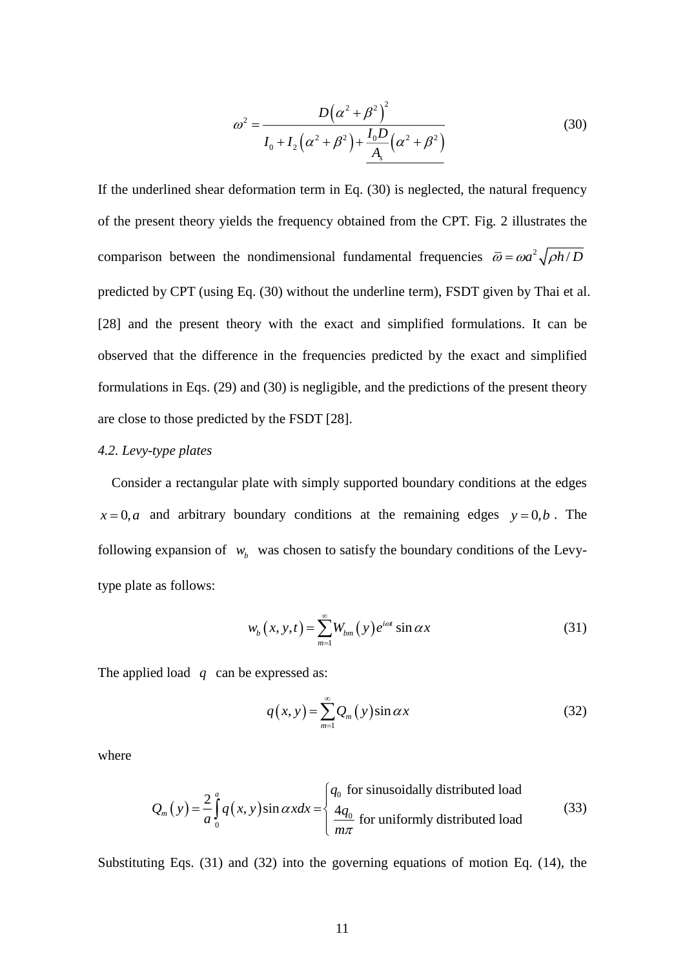$$
\omega^2 = \frac{D(\alpha^2 + \beta^2)^2}{I_0 + I_2(\alpha^2 + \beta^2) + \frac{I_0 D}{A_s}(\alpha^2 + \beta^2)}
$$
(30)

If the underlined shear deformation term in Eq. (30) is neglected, the natural frequency of the present theory yields the frequency obtained from the CPT. [Fig. 2](#page-30-1) illustrates the comparison between the nondimensional fundamental frequencies  $\bar{\omega} = \omega a^2 \sqrt{\rho h/D}$ predicted by CPT (using Eq. (30) without the underline term), FSDT given by Thai et al. [28] and the present theory with the exact and simplified formulations. It can be observed that the difference in the frequencies predicted by the exact and simplified formulations in Eqs. (29) and (30) is negligible, and the predictions of the present theory are close to those predicted by the FSDT [28].

#### *4.2. Levy-type plates*

Consider a rectangular plate with simply supported boundary conditions at the edges  $x = 0, a$  and arbitrary boundary conditions at the remaining edges  $y = 0, b$ . The following expansion of  $w_b$  was chosen to satisfy the boundary conditions of the Levytype plate as follows:

$$
w_b(x, y, t) = \sum_{m=1}^{\infty} W_{bm}(y) e^{i\omega t} \sin \alpha x \tag{31}
$$

The applied load  $q$  can be expressed as:

$$
q(x, y) = \sum_{m=1}^{\infty} Q_m(y) \sin \alpha x \tag{32}
$$

where

$$
Q_m(y) = \frac{2}{a} \int_0^a q(x, y) \sin \alpha x dx = \begin{cases} q_0 \text{ for sinusoidally distributed load} \\ \frac{4q_0}{m\pi} \text{ for uniformly distributed load} \end{cases}
$$
(33)

Substituting Eqs. (31) and (32) into the governing equations of motion Eq. (14), the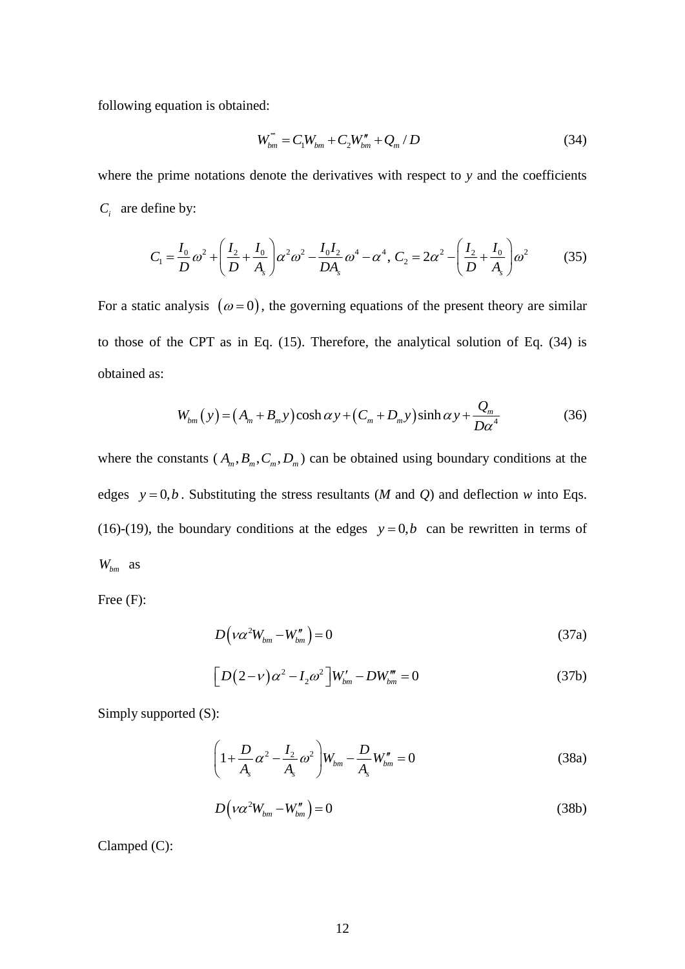following equation is obtained:

$$
W_{bm}^{\prime\prime\prime} = C_1 W_{bm} + C_2 W_{bm}^{\prime\prime} + Q_m / D \tag{34}
$$

where the prime notations denote the derivatives with respect to *y* and the coefficients  $C_i$  are define by:

$$
C_1 = \frac{I_0}{D}\omega^2 + \left(\frac{I_2}{D} + \frac{I_0}{A_s}\right)\alpha^2\omega^2 - \frac{I_0I_2}{DA_s}\omega^4 - \alpha^4, C_2 = 2\alpha^2 - \left(\frac{I_2}{D} + \frac{I_0}{A_s}\right)\omega^2
$$
(35)

For a static analysis  $(\omega = 0)$ , the governing equations of the present theory are similar to those of the CPT as in Eq. (15). Therefore, the analytical solution of Eq. (34) is obtained as:

$$
W_{bm}(y) = (A_m + B_m y) \cosh \alpha y + (C_m + D_m y) \sinh \alpha y + \frac{Q_m}{D \alpha^4}
$$
 (36)

where the constants  $(A_m, B_m, C_m, D_m)$  can be obtained using boundary conditions at the edges  $y = 0, b$ . Substituting the stress resultants (*M* and *Q*) and deflection *w* into Eqs. (16)-(19), the boundary conditions at the edges  $y=0,b$  can be rewritten in terms of *Wbm* as

Free (F):

$$
D(\nu \alpha^2 W_{bm} - W_{bm}^{\prime\prime}) = 0 \tag{37a}
$$

$$
\[D(2-\nu)\alpha^2 - I_2\omega^2\]W_{bm} - DW_{bm}^m = 0 \tag{37b}
$$

Simply supported (S):

$$
\left(1 + \frac{D}{A_s} \alpha^2 - \frac{I_2}{A_s} \omega^2\right) W_{bm} - \frac{D}{A_s} W_{bm}'' = 0
$$
\n(38a)

$$
D\left(\nu\alpha^2 W_{bm} - W_{bm}''\right) = 0\tag{38b}
$$

Clamped (C):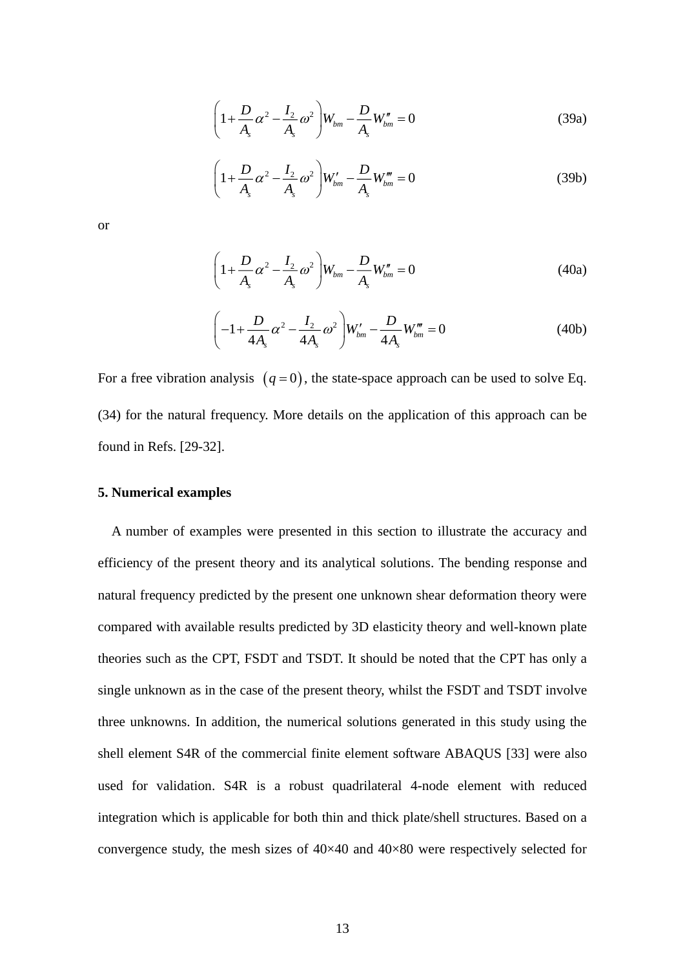$$
\left(1 + \frac{D}{A_s} \alpha^2 - \frac{I_2}{A_s} \omega^2\right) W_{bm} - \frac{D}{A_s} W_{bm}'' = 0
$$
\n(39a)

$$
\left(1 + \frac{D}{A_s} \alpha^2 - \frac{I_2}{A_s} \omega^2\right) W_{bm}^{\prime} - \frac{D}{A_s} W_{bm}^{\prime\prime\prime} = 0
$$
\n(39b)

or

$$
\left(1 + \frac{D}{A_s} \alpha^2 - \frac{I_2}{A_s} \omega^2\right) W_{bm} - \frac{D}{A_s} W_{bm}'' = 0
$$
\n(40a)

$$
\left(-1+\frac{D}{4A_s}\alpha^2-\frac{I_2}{4A_s}\omega^2\right)W_{bm}'-\frac{D}{4A_s}W_{bm}'''=0
$$
\n(40b)

For a free vibration analysis  $(q=0)$ , the state-space approach can be used to solve Eq. (34) for the natural frequency. More details on the application of this approach can be found in Refs. [29-32].

#### **5. Numerical examples**

A number of examples were presented in this section to illustrate the accuracy and efficiency of the present theory and its analytical solutions. The bending response and natural frequency predicted by the present one unknown shear deformation theory were compared with available results predicted by 3D elasticity theory and well-known plate theories such as the CPT, FSDT and TSDT. It should be noted that the CPT has only a single unknown as in the case of the present theory, whilst the FSDT and TSDT involve three unknowns. In addition, the numerical solutions generated in this study using the shell element S4R of the commercial finite element software ABAQUS [33] were also used for validation. S4R is a robust quadrilateral 4-node element with reduced integration which is applicable for both thin and thick plate/shell structures. Based on a convergence study, the mesh sizes of  $40\times40$  and  $40\times80$  were respectively selected for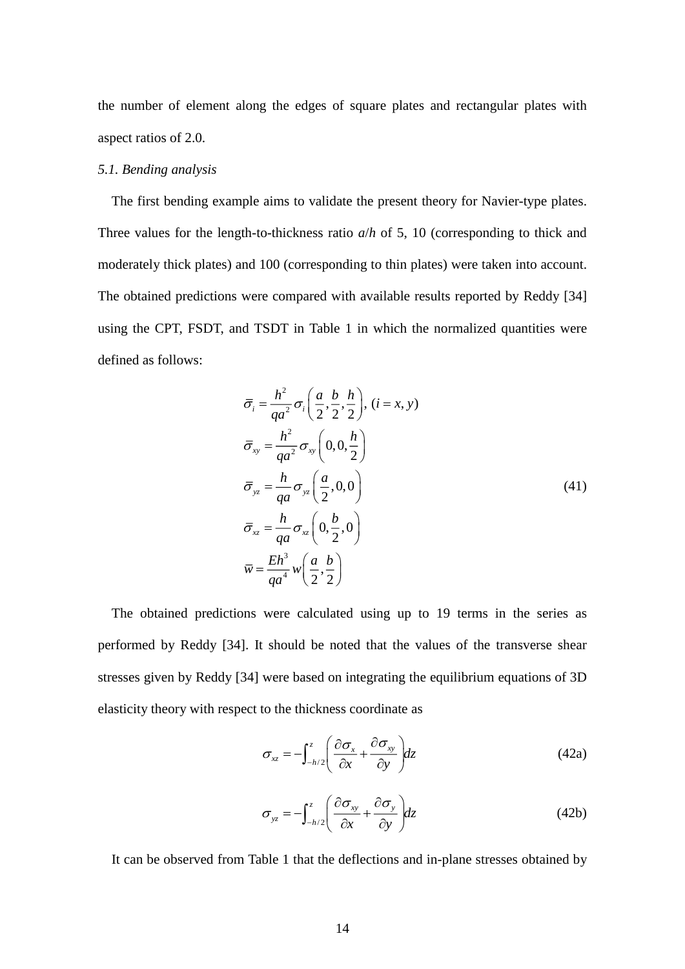the number of element along the edges of square plates and rectangular plates with aspect ratios of 2.0.

### *5.1. Bending analysis*

The first bending example aims to validate the present theory for Navier-type plates. Three values for the length-to-thickness ratio *a*/*h* of 5, 10 (corresponding to thick and moderately thick plates) and 100 (corresponding to thin plates) were taken into account. The obtained predictions were compared with available results reported by Reddy [34] using the CPT, FSDT, and TSDT in [Table 1](#page-25-0) in which the normalized quantities were defined as follows:

$$
\overline{\sigma}_i = \frac{h^2}{qa^2} \sigma_i \left( \frac{a}{2}, \frac{b}{2}, \frac{h}{2} \right), (i = x, y)
$$
  
\n
$$
\overline{\sigma}_{xy} = \frac{h^2}{qa^2} \sigma_{xy} \left( 0, 0, \frac{h}{2} \right)
$$
  
\n
$$
\overline{\sigma}_{yz} = \frac{h}{qa} \sigma_{yz} \left( \frac{a}{2}, 0, 0 \right)
$$
  
\n
$$
\overline{\sigma}_{xz} = \frac{h}{qa} \sigma_{xz} \left( 0, \frac{b}{2}, 0 \right)
$$
  
\n
$$
\overline{w} = \frac{Eh^3}{qa^4} w \left( \frac{a}{2}, \frac{b}{2} \right)
$$
\n(41)

The obtained predictions were calculated using up to 19 terms in the series as performed by Reddy [34]. It should be noted that the values of the transverse shear stresses given by Reddy [34] were based on integrating the equilibrium equations of 3D elasticity theory with respect to the thickness coordinate as

$$
\sigma_{xz} = -\int_{-h/2}^{z} \left( \frac{\partial \sigma_x}{\partial x} + \frac{\partial \sigma_{xy}}{\partial y} \right) dz
$$
 (42a)

$$
\sigma_{yz} = -\int_{-h/2}^{z} \left( \frac{\partial \sigma_{xy}}{\partial x} + \frac{\partial \sigma_{y}}{\partial y} \right) dz
$$
 (42b)

It can be observed from [Table 1](#page-25-0) that the deflections and in-plane stresses obtained by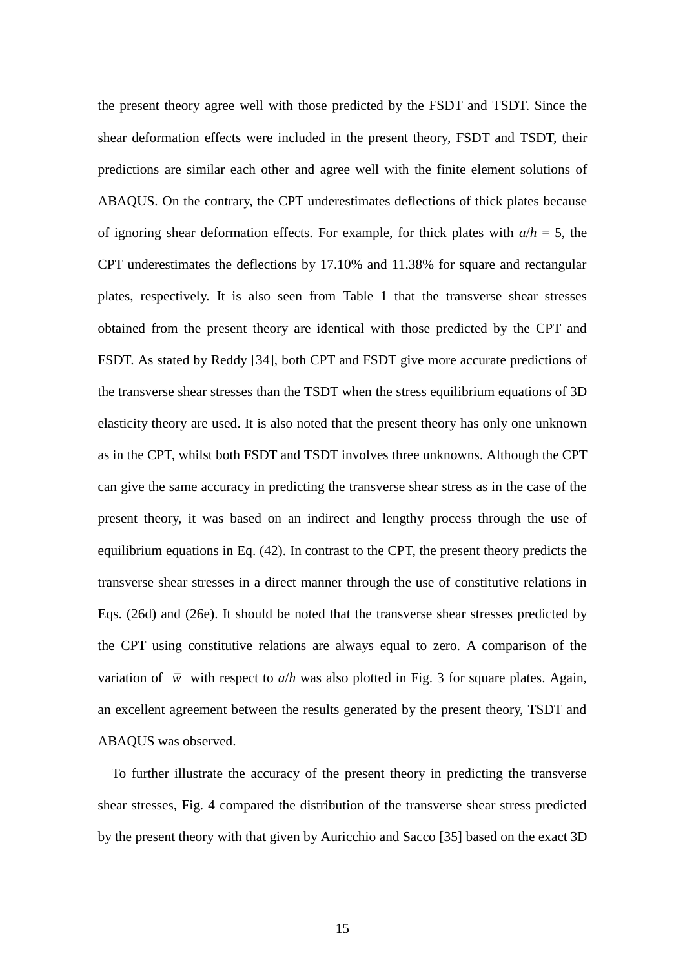the present theory agree well with those predicted by the FSDT and TSDT. Since the shear deformation effects were included in the present theory, FSDT and TSDT, their predictions are similar each other and agree well with the finite element solutions of ABAQUS. On the contrary, the CPT underestimates deflections of thick plates because of ignoring shear deformation effects. For example, for thick plates with  $a/h = 5$ , the CPT underestimates the deflections by 17.10% and 11.38% for square and rectangular plates, respectively. It is also seen from [Table 1](#page-25-0) that the transverse shear stresses obtained from the present theory are identical with those predicted by the CPT and FSDT. As stated by Reddy [34], both CPT and FSDT give more accurate predictions of the transverse shear stresses than the TSDT when the stress equilibrium equations of 3D elasticity theory are used. It is also noted that the present theory has only one unknown as in the CPT, whilst both FSDT and TSDT involves three unknowns. Although the CPT can give the same accuracy in predicting the transverse shear stress as in the case of the present theory, it was based on an indirect and lengthy process through the use of equilibrium equations in Eq. (42). In contrast to the CPT, the present theory predicts the transverse shear stresses in a direct manner through the use of constitutive relations in Eqs. (26d) and (26e). It should be noted that the transverse shear stresses predicted by the CPT using constitutive relations are always equal to zero. A comparison of the variation of  $\overline{w}$  with respect to  $a/h$  was also plotted in [Fig. 3](#page-31-0) for square plates. Again, an excellent agreement between the results generated by the present theory, TSDT and ABAQUS was observed.

To further illustrate the accuracy of the present theory in predicting the transverse shear stresses, [Fig. 4](#page-31-1) compared the distribution of the transverse shear stress predicted by the present theory with that given by Auricchio and Sacco [35] based on the exact 3D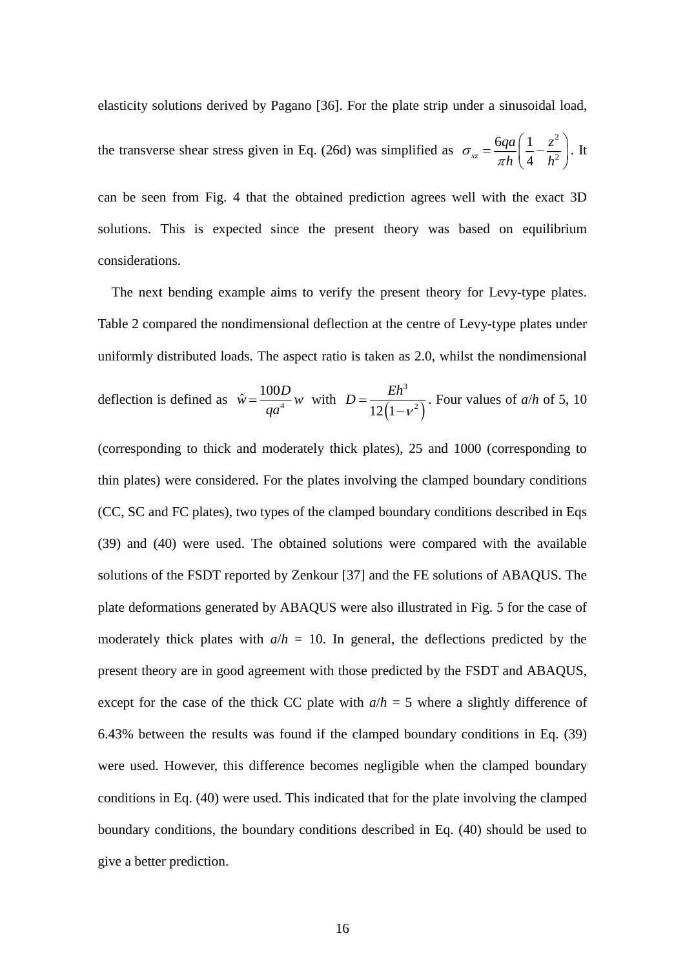elasticity solutions derived by Pagano [36]. For the plate strip under a sinusoidal load,

the transverse shear stress given in Eq. (26d) was simplified as 2 2  $6qa \nvert 1$  $\frac{1}{x}$   $\pi h$   $\left(4\right)$ *qa*  $\begin{pmatrix} 1 & z \end{pmatrix}$  $\sigma_{xz} = \frac{1}{\pi h} \left( \frac{1}{4} - \frac{1}{h} \right)$ π  $\left(1-z^2\right)$  $=\frac{6qa}{\pi h}\left(\frac{1}{4}-\frac{z}{h^2}\right)$ . It

can be seen from [Fig. 4](#page-31-1) that the obtained prediction agrees well with the exact 3D solutions. This is expected since the present theory was based on equilibrium considerations.

The next bending example aims to verify the present theory for Levy-type plates. [Table 2](#page-26-0) compared the nondimensional deflection at the centre of Levy-type plates under uniformly distributed loads. The aspect ratio is taken as 2.0, whilst the nondimensional deflection is defined as  $\hat{w} = \frac{1604}{x^4}$  $\hat{\mathbf{v}} = \frac{100}{\pi}$  $\hat{w} = \frac{100D}{4}w$ *qa*  $=\frac{100B}{4}w$  with  $(1 - v^2)$ 3  $12(1-\nu^2)$  $D = \frac{Eh}{\sqrt{2}}$ V  $=\frac{1}{12(1-1)}$ . Four values of *a*/*h* of 5, 10

(corresponding to thick and moderately thick plates), 25 and 1000 (corresponding to thin plates) were considered. For the plates involving the clamped boundary conditions (CC, SC and FC plates), two types of the clamped boundary conditions described in Eqs (39) and (40) were used. The obtained solutions were compared with the available solutions of the FSDT reported by Zenkour [37] and the FE solutions of ABAQUS. The plate deformations generated by ABAQUS were also illustrated in [Fig. 5](#page-32-0) for the case of moderately thick plates with  $a/h = 10$ . In general, the deflections predicted by the present theory are in good agreement with those predicted by the FSDT and ABAQUS, except for the case of the thick CC plate with  $a/h = 5$  where a slightly difference of 6.43% between the results was found if the clamped boundary conditions in Eq. (39) were used. However, this difference becomes negligible when the clamped boundary conditions in Eq. (40) were used. This indicated that for the plate involving the clamped boundary conditions, the boundary conditions described in Eq. (40) should be used to give a better prediction.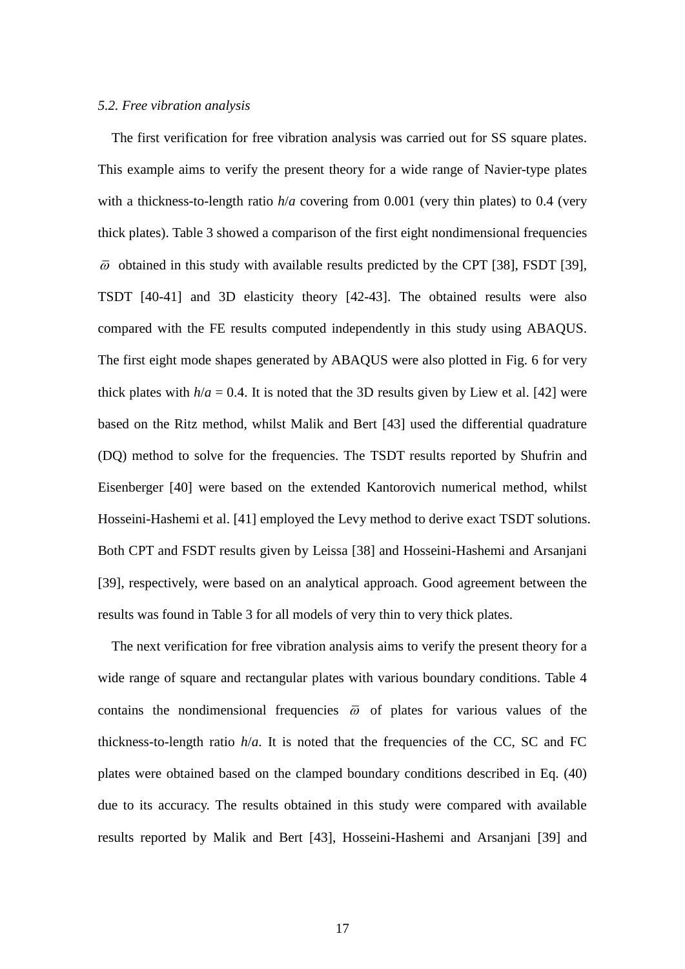#### *5.2. Free vibration analysis*

The first verification for free vibration analysis was carried out for SS square plates. This example aims to verify the present theory for a wide range of Navier-type plates with a thickness-to-length ratio  $h/a$  covering from 0.001 (very thin plates) to 0.4 (very thick plates). [Table 3](#page-27-0) showed a comparison of the first eight nondimensional frequencies  $\bar{\omega}$  obtained in this study with available results predicted by the CPT [38], FSDT [39], TSDT [40-41] and 3D elasticity theory [42-43]. The obtained results were also compared with the FE results computed independently in this study using ABAQUS. The first eight mode shapes generated by ABAQUS were also plotted in [Fig. 6](#page-32-1) for very thick plates with  $h/a = 0.4$ . It is noted that the 3D results given by Liew et al. [42] were based on the Ritz method, whilst Malik and Bert [43] used the differential quadrature (DQ) method to solve for the frequencies. The TSDT results reported by Shufrin and Eisenberger [40] were based on the extended Kantorovich numerical method, whilst Hosseini-Hashemi et al. [41] employed the Levy method to derive exact TSDT solutions. Both CPT and FSDT results given by Leissa [38] and Hosseini-Hashemi and Arsanjani [39], respectively, were based on an analytical approach. Good agreement between the results was found in [Table 3](#page-27-0) for all models of very thin to very thick plates.

The next verification for free vibration analysis aims to verify the present theory for a wide range of square and rectangular plates with various boundary conditions. [Table 4](#page-28-0) contains the nondimensional frequencies  $\overline{\omega}$  of plates for various values of the thickness-to-length ratio  $h/a$ . It is noted that the frequencies of the CC, SC and FC plates were obtained based on the clamped boundary conditions described in Eq. (40) due to its accuracy. The results obtained in this study were compared with available results reported by Malik and Bert [43], Hosseini-Hashemi and Arsanjani [39] and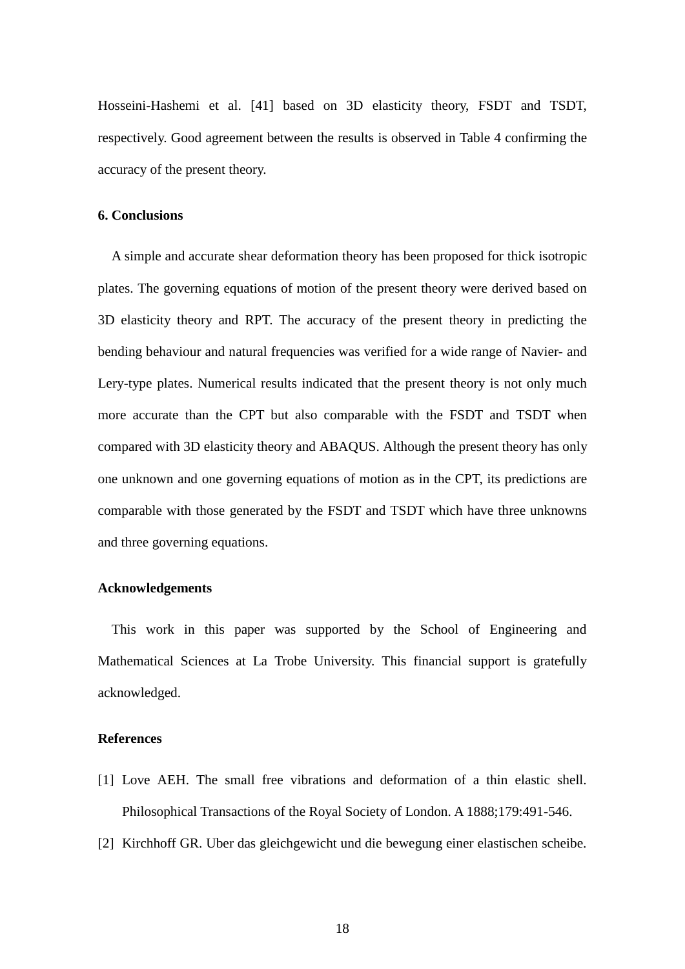Hosseini-Hashemi et al. [41] based on 3D elasticity theory, FSDT and TSDT, respectively. Good agreement between the results is observed in [Table 4](#page-28-0) confirming the accuracy of the present theory.

#### **6. Conclusions**

A simple and accurate shear deformation theory has been proposed for thick isotropic plates. The governing equations of motion of the present theory were derived based on 3D elasticity theory and RPT. The accuracy of the present theory in predicting the bending behaviour and natural frequencies was verified for a wide range of Navier- and Lery-type plates. Numerical results indicated that the present theory is not only much more accurate than the CPT but also comparable with the FSDT and TSDT when compared with 3D elasticity theory and ABAQUS. Although the present theory has only one unknown and one governing equations of motion as in the CPT, its predictions are comparable with those generated by the FSDT and TSDT which have three unknowns and three governing equations.

#### **Acknowledgements**

This work in this paper was supported by the School of Engineering and Mathematical Sciences at La Trobe University. This financial support is gratefully acknowledged.

#### **References**

- [1] Love AEH. The small free vibrations and deformation of a thin elastic shell. Philosophical Transactions of the Royal Society of London. A 1888;179:491-546.
- [2] Kirchhoff GR. Uber das gleichgewicht und die bewegung einer elastischen scheibe.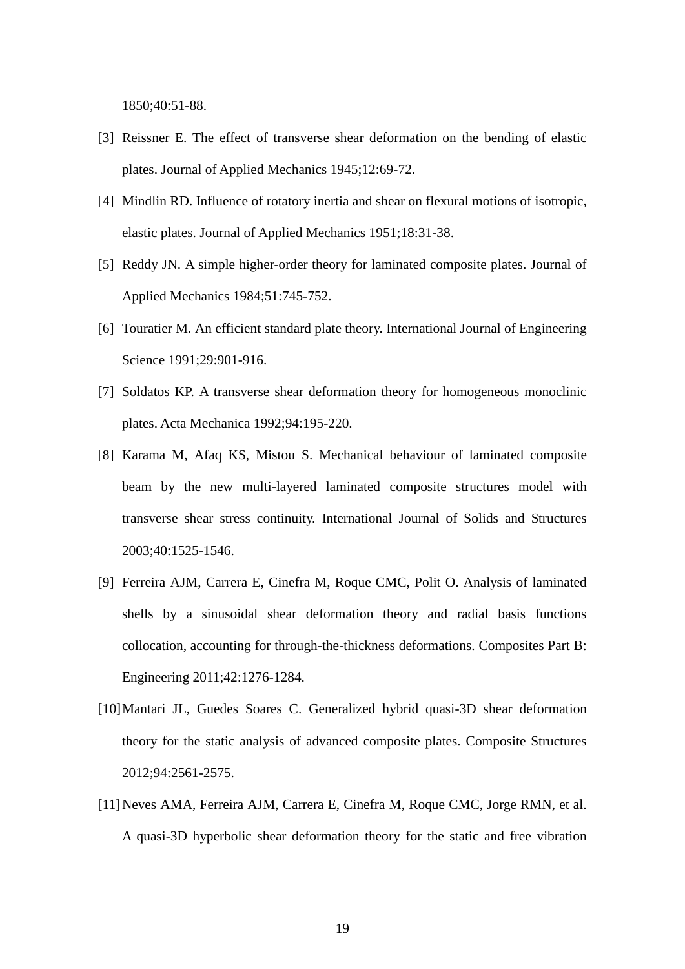1850;40:51-88.

- [3] Reissner E. The effect of transverse shear deformation on the bending of elastic plates. Journal of Applied Mechanics 1945;12:69-72.
- [4] Mindlin RD. Influence of rotatory inertia and shear on flexural motions of isotropic, elastic plates. Journal of Applied Mechanics 1951;18:31-38.
- [5] Reddy JN. A simple higher-order theory for laminated composite plates. Journal of Applied Mechanics 1984;51:745-752.
- [6] Touratier M. An efficient standard plate theory. International Journal of Engineering Science 1991;29:901-916.
- [7] Soldatos KP. A transverse shear deformation theory for homogeneous monoclinic plates. Acta Mechanica 1992;94:195-220.
- [8] Karama M, Afaq KS, Mistou S. Mechanical behaviour of laminated composite beam by the new multi-layered laminated composite structures model with transverse shear stress continuity. International Journal of Solids and Structures 2003;40:1525-1546.
- [9] Ferreira AJM, Carrera E, Cinefra M, Roque CMC, Polit O. Analysis of laminated shells by a sinusoidal shear deformation theory and radial basis functions collocation, accounting for through-the-thickness deformations. Composites Part B: Engineering 2011;42:1276-1284.
- [10]Mantari JL, Guedes Soares C. Generalized hybrid quasi-3D shear deformation theory for the static analysis of advanced composite plates. Composite Structures 2012;94:2561-2575.
- [11]Neves AMA, Ferreira AJM, Carrera E, Cinefra M, Roque CMC, Jorge RMN, et al. A quasi-3D hyperbolic shear deformation theory for the static and free vibration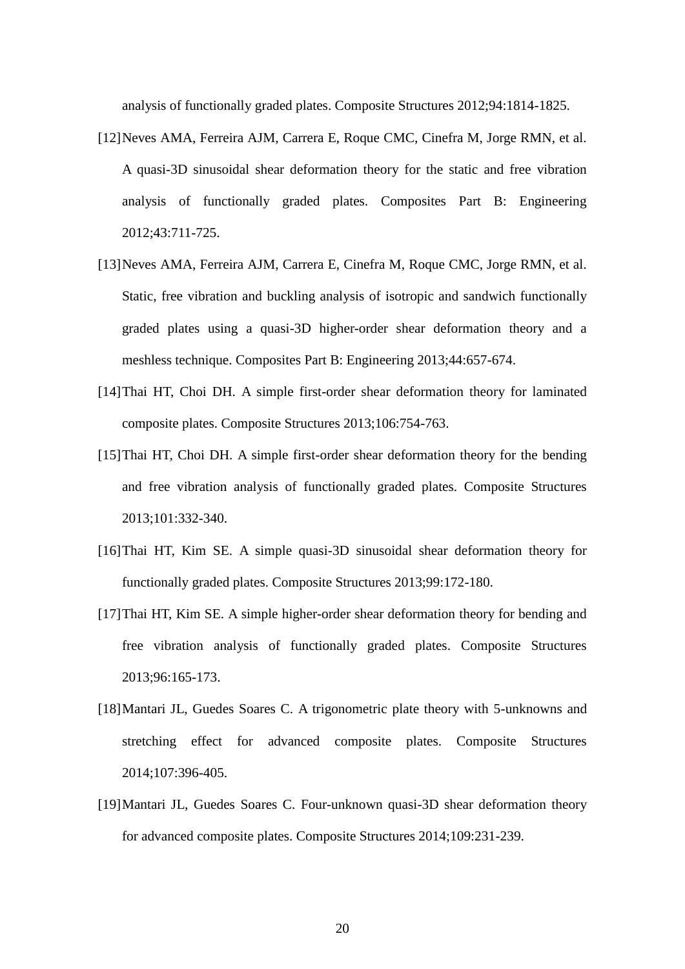analysis of functionally graded plates. Composite Structures 2012;94:1814-1825.

- [12]Neves AMA, Ferreira AJM, Carrera E, Roque CMC, Cinefra M, Jorge RMN, et al. A quasi-3D sinusoidal shear deformation theory for the static and free vibration analysis of functionally graded plates. Composites Part B: Engineering 2012;43:711-725.
- [13]Neves AMA, Ferreira AJM, Carrera E, Cinefra M, Roque CMC, Jorge RMN, et al. Static, free vibration and buckling analysis of isotropic and sandwich functionally graded plates using a quasi-3D higher-order shear deformation theory and a meshless technique. Composites Part B: Engineering 2013;44:657-674.
- [14]Thai HT, Choi DH. A simple first-order shear deformation theory for laminated composite plates. Composite Structures 2013;106:754-763.
- [15]Thai HT, Choi DH. A simple first-order shear deformation theory for the bending and free vibration analysis of functionally graded plates. Composite Structures 2013;101:332-340.
- [16]Thai HT, Kim SE. A simple quasi-3D sinusoidal shear deformation theory for functionally graded plates. Composite Structures 2013;99:172-180.
- [17]Thai HT, Kim SE. A simple higher-order shear deformation theory for bending and free vibration analysis of functionally graded plates. Composite Structures 2013;96:165-173.
- [18]Mantari JL, Guedes Soares C. A trigonometric plate theory with 5-unknowns and stretching effect for advanced composite plates. Composite Structures 2014;107:396-405.
- [19]Mantari JL, Guedes Soares C. Four-unknown quasi-3D shear deformation theory for advanced composite plates. Composite Structures 2014;109:231-239.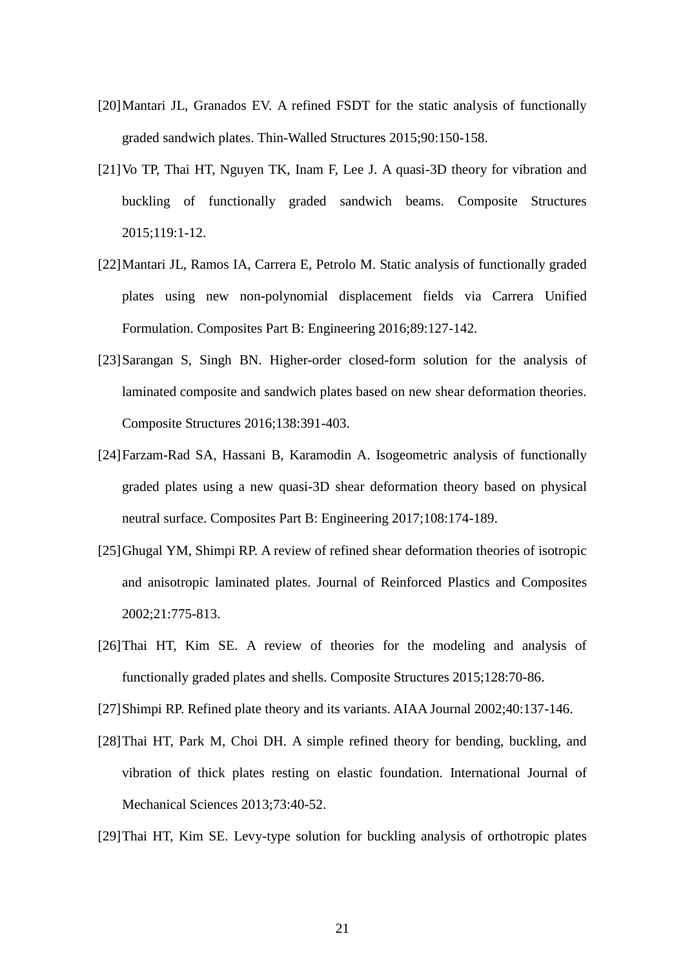- [20]Mantari JL, Granados EV. A refined FSDT for the static analysis of functionally graded sandwich plates. Thin-Walled Structures 2015;90:150-158.
- [21]Vo TP, Thai HT, Nguyen TK, Inam F, Lee J. A quasi-3D theory for vibration and buckling of functionally graded sandwich beams. Composite Structures 2015;119:1-12.
- [22]Mantari JL, Ramos IA, Carrera E, Petrolo M. Static analysis of functionally graded plates using new non-polynomial displacement fields via Carrera Unified Formulation. Composites Part B: Engineering 2016;89:127-142.
- [23]Sarangan S, Singh BN. Higher-order closed-form solution for the analysis of laminated composite and sandwich plates based on new shear deformation theories. Composite Structures 2016;138:391-403.
- [24]Farzam-Rad SA, Hassani B, Karamodin A. Isogeometric analysis of functionally graded plates using a new quasi-3D shear deformation theory based on physical neutral surface. Composites Part B: Engineering 2017;108:174-189.
- [25]Ghugal YM, Shimpi RP. A review of refined shear deformation theories of isotropic and anisotropic laminated plates. Journal of Reinforced Plastics and Composites 2002;21:775-813.
- [26]Thai HT, Kim SE. A review of theories for the modeling and analysis of functionally graded plates and shells. Composite Structures 2015;128:70-86.
- [27]Shimpi RP. Refined plate theory and its variants. AIAA Journal 2002;40:137-146.
- [28]Thai HT, Park M, Choi DH. A simple refined theory for bending, buckling, and vibration of thick plates resting on elastic foundation. International Journal of Mechanical Sciences 2013;73:40-52.
- [29]Thai HT, Kim SE. Levy-type solution for buckling analysis of orthotropic plates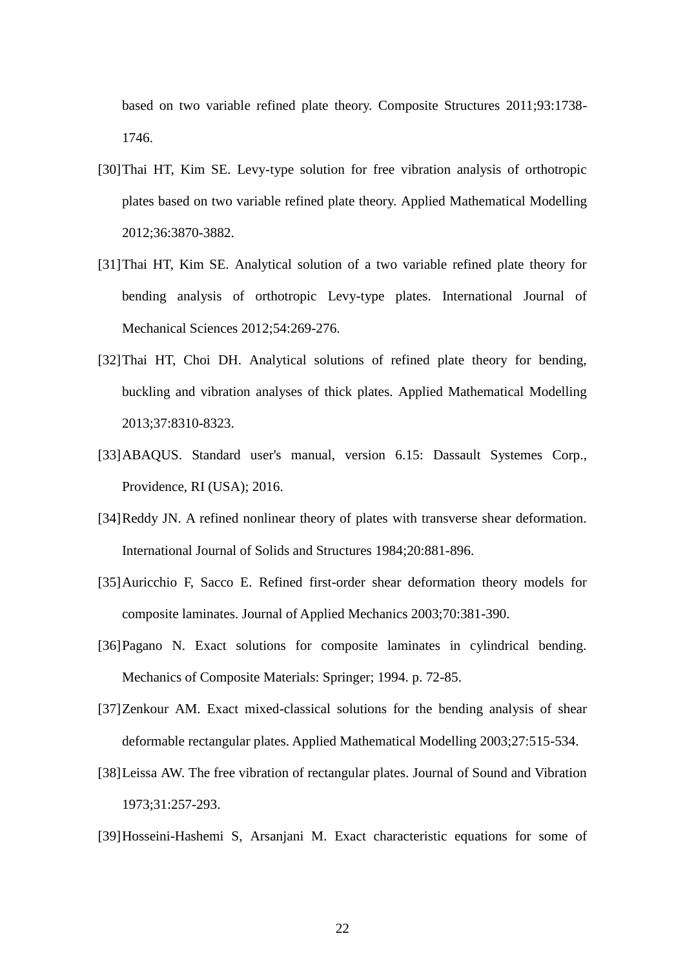based on two variable refined plate theory. Composite Structures 2011;93:1738- 1746.

- [30]Thai HT, Kim SE. Levy-type solution for free vibration analysis of orthotropic plates based on two variable refined plate theory. Applied Mathematical Modelling 2012;36:3870-3882.
- [31]Thai HT, Kim SE. Analytical solution of a two variable refined plate theory for bending analysis of orthotropic Levy-type plates. International Journal of Mechanical Sciences 2012;54:269-276.
- [32]Thai HT, Choi DH. Analytical solutions of refined plate theory for bending, buckling and vibration analyses of thick plates. Applied Mathematical Modelling 2013;37:8310-8323.
- [33]ABAQUS. Standard user's manual, version 6.15: Dassault Systemes Corp., Providence, RI (USA); 2016.
- [34]Reddy JN. A refined nonlinear theory of plates with transverse shear deformation. International Journal of Solids and Structures 1984;20:881-896.
- [35]Auricchio F, Sacco E. Refined first-order shear deformation theory models for composite laminates. Journal of Applied Mechanics 2003;70:381-390.
- [36]Pagano N. Exact solutions for composite laminates in cylindrical bending. Mechanics of Composite Materials: Springer; 1994. p. 72-85.
- [37]Zenkour AM. Exact mixed-classical solutions for the bending analysis of shear deformable rectangular plates. Applied Mathematical Modelling 2003;27:515-534.
- [38]Leissa AW. The free vibration of rectangular plates. Journal of Sound and Vibration 1973;31:257-293.
- [39]Hosseini-Hashemi S, Arsanjani M. Exact characteristic equations for some of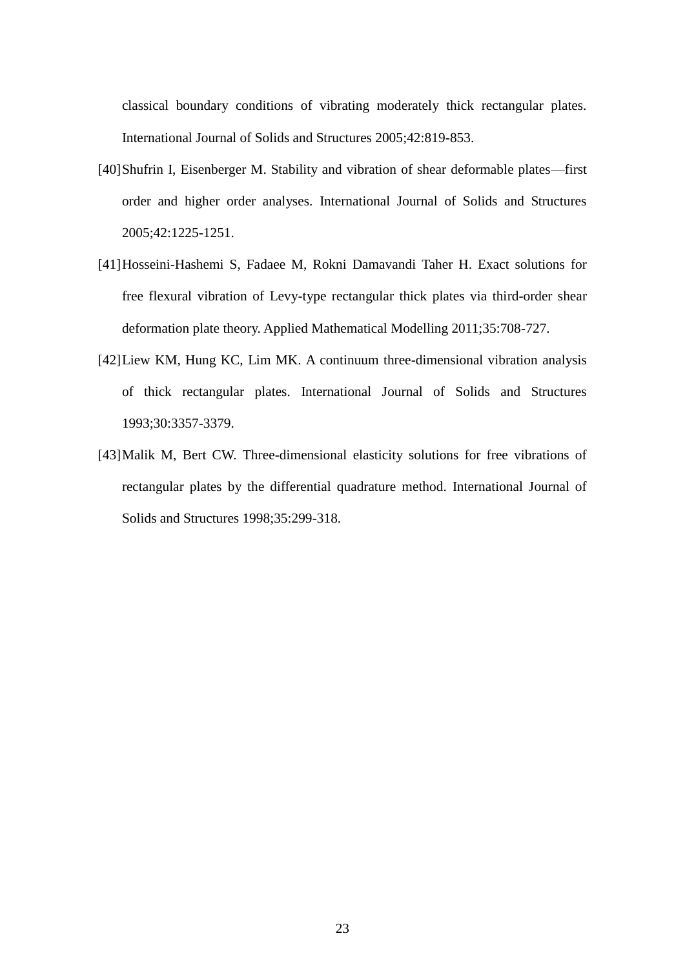classical boundary conditions of vibrating moderately thick rectangular plates. International Journal of Solids and Structures 2005;42:819-853.

- [40]Shufrin I, Eisenberger M. Stability and vibration of shear deformable plates––first order and higher order analyses. International Journal of Solids and Structures 2005;42:1225-1251.
- [41]Hosseini-Hashemi S, Fadaee M, Rokni Damavandi Taher H. Exact solutions for free flexural vibration of Levy-type rectangular thick plates via third-order shear deformation plate theory. Applied Mathematical Modelling 2011;35:708-727.
- [42]Liew KM, Hung KC, Lim MK. A continuum three-dimensional vibration analysis of thick rectangular plates. International Journal of Solids and Structures 1993;30:3357-3379.
- [43]Malik M, Bert CW. Three-dimensional elasticity solutions for free vibrations of rectangular plates by the differential quadrature method. International Journal of Solids and Structures 1998;35:299-318.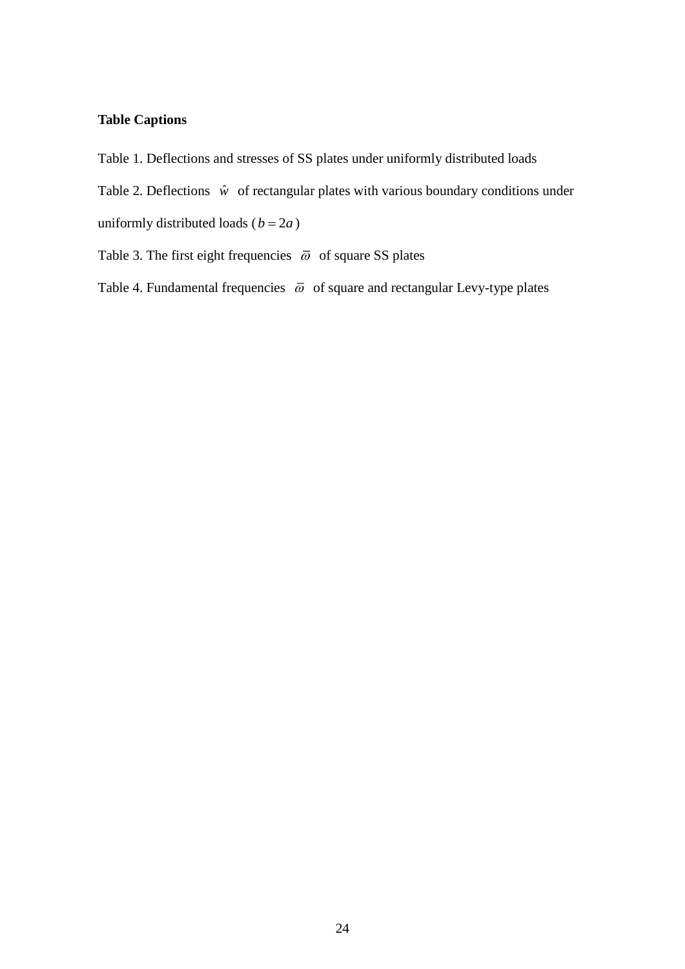## **Table Captions**

[Table 1. Deflections and stresses of SS plates under uniformly distributed loads](#page-25-0)

- Table 2. Deflections  $\hat{w}$  [of rectangular plates with various boundary conditions](#page-26-0) under uniformly distributed loads  $(b = 2a)$
- [Table 3. The first eight frequencies](#page-27-0)  $\bar{\omega}$  of square SS plates

Table 4. Fundamental frequencies  $\bar{\omega}$  [of square and rectangular Levy-type plates](#page-28-0)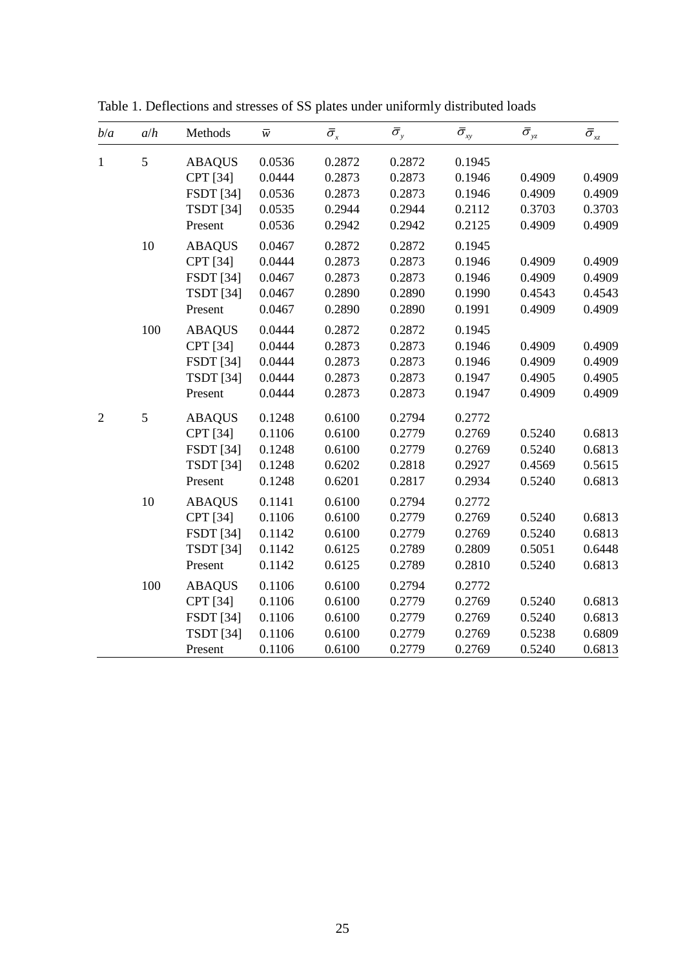| b/a            | a/h     | Methods          | $\overline{\mathcal{W}}$ | $\bar{\sigma}_x$ | $\bar{\sigma}_y$ | $\bar{\sigma}_{xy}$ | $\bar{\sigma}_{\hbox{\tiny yz}}$ | $\bar{\sigma}_{xz}$ |
|----------------|---------|------------------|--------------------------|------------------|------------------|---------------------|----------------------------------|---------------------|
| $\mathbf{1}$   | 5       | <b>ABAQUS</b>    | 0.0536                   | 0.2872           | 0.2872           | 0.1945              |                                  |                     |
|                |         | <b>CPT</b> [34]  | 0.0444                   | 0.2873           | 0.2873           | 0.1946              | 0.4909                           | 0.4909              |
|                |         | <b>FSDT</b> [34] | 0.0536                   | 0.2873           | 0.2873           | 0.1946              | 0.4909                           | 0.4909              |
|                |         | <b>TSDT</b> [34] | 0.0535                   | 0.2944           | 0.2944           | 0.2112              | 0.3703                           | 0.3703              |
|                |         | Present          | 0.0536                   | 0.2942           | 0.2942           | 0.2125              | 0.4909                           | 0.4909              |
|                | 10      | <b>ABAQUS</b>    | 0.0467                   | 0.2872           | 0.2872           | 0.1945              |                                  |                     |
|                |         | CPT [34]         | 0.0444                   | 0.2873           | 0.2873           | 0.1946              | 0.4909                           | 0.4909              |
|                |         | <b>FSDT</b> [34] | 0.0467                   | 0.2873           | 0.2873           | 0.1946              | 0.4909                           | 0.4909              |
|                |         | <b>TSDT</b> [34] | 0.0467                   | 0.2890           | 0.2890           | 0.1990              | 0.4543                           | 0.4543              |
|                |         | Present          | 0.0467                   | 0.2890           | 0.2890           | 0.1991              | 0.4909                           | 0.4909              |
|                | 100     | <b>ABAQUS</b>    | 0.0444                   | 0.2872           | 0.2872           | 0.1945              |                                  |                     |
|                |         | CPT [34]         | 0.0444                   | 0.2873           | 0.2873           | 0.1946              | 0.4909                           | 0.4909              |
|                |         | <b>FSDT</b> [34] | 0.0444                   | 0.2873           | 0.2873           | 0.1946              | 0.4909                           | 0.4909              |
|                |         | <b>TSDT</b> [34] | 0.0444                   | 0.2873           | 0.2873           | 0.1947              | 0.4905                           | 0.4905              |
|                |         | Present          | 0.0444                   | 0.2873           | 0.2873           | 0.1947              | 0.4909                           | 0.4909              |
| $\overline{2}$ | 5       | <b>ABAQUS</b>    | 0.1248                   | 0.6100           | 0.2794           | 0.2772              |                                  |                     |
|                |         | CPT [34]         | 0.1106                   | 0.6100           | 0.2779           | 0.2769              | 0.5240                           | 0.6813              |
|                |         | <b>FSDT</b> [34] | 0.1248                   | 0.6100           | 0.2779           | 0.2769              | 0.5240                           | 0.6813              |
|                |         | <b>TSDT</b> [34] | 0.1248                   | 0.6202           | 0.2818           | 0.2927              | 0.4569                           | 0.5615              |
|                |         | Present          | 0.1248                   | 0.6201           | 0.2817           | 0.2934              | 0.5240                           | 0.6813              |
|                | 10      | <b>ABAQUS</b>    | 0.1141                   | 0.6100           | 0.2794           | 0.2772              |                                  |                     |
|                |         | CPT [34]         | 0.1106                   | 0.6100           | 0.2779           | 0.2769              | 0.5240                           | 0.6813              |
|                |         | <b>FSDT</b> [34] | 0.1142                   | 0.6100           | 0.2779           | 0.2769              | 0.5240                           | 0.6813              |
|                |         | <b>TSDT</b> [34] | 0.1142                   | 0.6125           | 0.2789           | 0.2809              | 0.5051                           | 0.6448              |
|                |         | Present          | 0.1142                   | 0.6125           | 0.2789           | 0.2810              | 0.5240                           | 0.6813              |
|                | $100\,$ | <b>ABAQUS</b>    | 0.1106                   | 0.6100           | 0.2794           | 0.2772              |                                  |                     |
|                |         | CPT [34]         | 0.1106                   | 0.6100           | 0.2779           | 0.2769              | 0.5240                           | 0.6813              |
|                |         | <b>FSDT</b> [34] | 0.1106                   | 0.6100           | 0.2779           | 0.2769              | 0.5240                           | 0.6813              |
|                |         | <b>TSDT</b> [34] | 0.1106                   | 0.6100           | 0.2779           | 0.2769              | 0.5238                           | 0.6809              |
|                |         | Present          | 0.1106                   | 0.6100           | 0.2779           | 0.2769              | 0.5240                           | 0.6813              |

<span id="page-25-0"></span>Table 1. Deflections and stresses of SS plates under uniformly distributed loads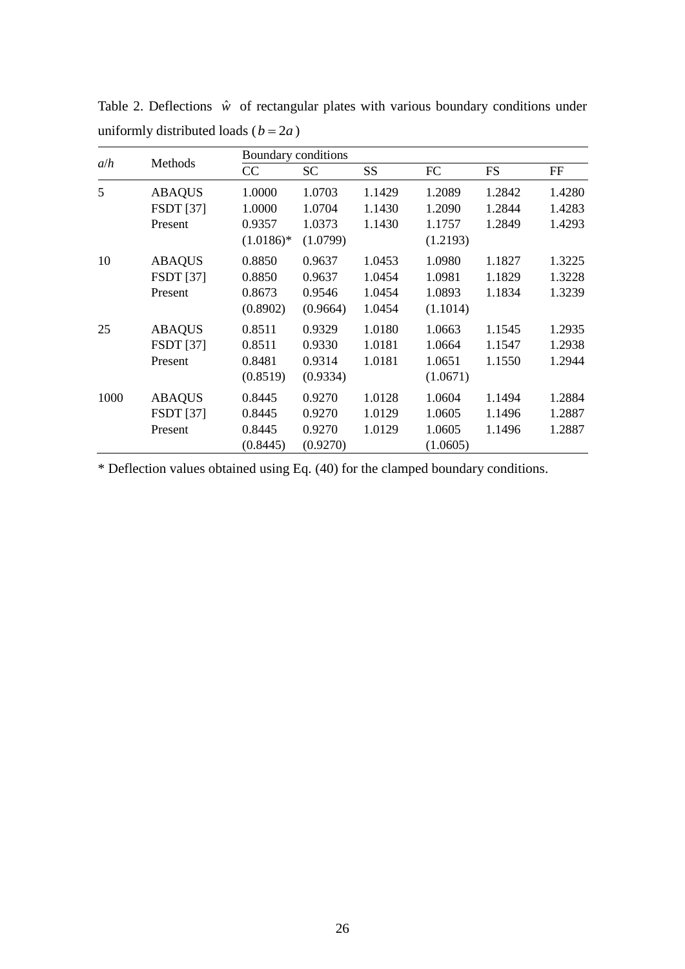| a/h  |                  |             | Boundary conditions |           |           |           |        |  |  |
|------|------------------|-------------|---------------------|-----------|-----------|-----------|--------|--|--|
|      | Methods          | CC          | SС                  | <b>SS</b> | <b>FC</b> | <b>FS</b> | FF     |  |  |
| 5    | <b>ABAQUS</b>    | 1.0000      | 1.0703              | 1.1429    | 1.2089    | 1.2842    | 1.4280 |  |  |
|      | <b>FSDT</b> [37] | 1.0000      | 1.0704              | 1.1430    | 1.2090    | 1.2844    | 1.4283 |  |  |
|      | Present          | 0.9357      | 1.0373              | 1.1430    | 1.1757    | 1.2849    | 1.4293 |  |  |
|      |                  | $(1.0186)*$ | (1.0799)            |           | (1.2193)  |           |        |  |  |
| 10   | <b>ABAQUS</b>    | 0.8850      | 0.9637              | 1.0453    | 1.0980    | 1.1827    | 1.3225 |  |  |
|      | <b>FSDT</b> [37] | 0.8850      | 0.9637              | 1.0454    | 1.0981    | 1.1829    | 1.3228 |  |  |
|      | Present          | 0.8673      | 0.9546              | 1.0454    | 1.0893    | 1.1834    | 1.3239 |  |  |
|      |                  | (0.8902)    | (0.9664)            | 1.0454    | (1.1014)  |           |        |  |  |
| 25   | <b>ABAQUS</b>    | 0.8511      | 0.9329              | 1.0180    | 1.0663    | 1.1545    | 1.2935 |  |  |
|      | <b>FSDT</b> [37] | 0.8511      | 0.9330              | 1.0181    | 1.0664    | 1.1547    | 1.2938 |  |  |
|      | Present          | 0.8481      | 0.9314              | 1.0181    | 1.0651    | 1.1550    | 1.2944 |  |  |
|      |                  | (0.8519)    | (0.9334)            |           | (1.0671)  |           |        |  |  |
| 1000 | <b>ABAQUS</b>    | 0.8445      | 0.9270              | 1.0128    | 1.0604    | 1.1494    | 1.2884 |  |  |
|      | <b>FSDT</b> [37] | 0.8445      | 0.9270              | 1.0129    | 1.0605    | 1.1496    | 1.2887 |  |  |
|      | Present          | 0.8445      | 0.9270              | 1.0129    | 1.0605    | 1.1496    | 1.2887 |  |  |
|      |                  | (0.8445)    | (0.9270)            |           | (1.0605)  |           |        |  |  |

<span id="page-26-0"></span>Table 2. Deflections  $\hat{w}$  of rectangular plates with various boundary conditions under uniformly distributed loads  $(b = 2a)$ 

\* Deflection values obtained using Eq. (40) for the clamped boundary conditions.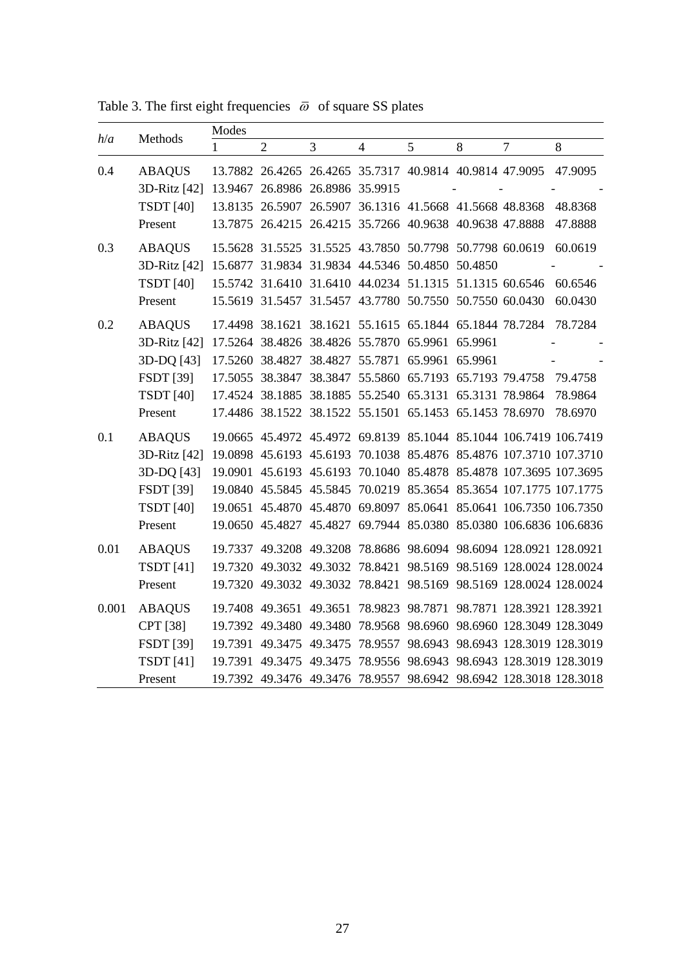*h*/*a* Methods Modes 1 2 3 4 5 8 7 8 0.4 ABAQUS 13.7882 26.4265 26.4265 35.7317 40.9814 40.9814 47.9095 47.9095 3D-Ritz [42] 13.9467 26.8986 26.8986 35.9915 - - - - TSDT [40] 13.8135 26.5907 26.5907 36.1316 41.5668 41.5668 48.8368 48.8368 Present 13.7875 26.4215 26.4215 35.7266 40.9638 40.9638 47.8888 47.8888 0.3 ABAQUS 15.5628 31.5525 31.5525 43.7850 50.7798 50.7798 60.0619 60.0619 3D-Ritz [42] 15.6877 31.9834 31.9834 44.5346 50.4850 50.4850 TSDT [40] 15.5742 31.6410 31.6410 44.0234 51.1315 51.1315 60.6546 60.6546 Present 15.5619 31.5457 31.5457 43.7780 50.7550 50.7550 60.0430 60.0430 0.2 ABAQUS 17.4498 38.1621 38.1621 55.1615 65.1844 65.1844 78.7284 78.7284 3D-Ritz [42] 17.5264 38.4826 38.4826 55.7870 65.9961 65.9961 - - 3D-DQ [43] 17.5260 38.4827 38.4827 55.7871 65.9961 65.9961 FSDT [39] 17.5055 38.3847 38.3847 55.5860 65.7193 65.7193 79.4758 79.4758 TSDT [40] 17.4524 38.1885 38.1885 55.2540 65.3131 65.3131 78.9864 78.9864 Present 17.4486 38.1522 38.1522 55.1501 65.1453 65.1453 78.6970 78.6970 0.1 ABAQUS 19.0665 45.4972 45.4972 69.8139 85.1044 85.1044 106.7419 106.7419 3D-Ritz [42] 19.0898 45.6193 45.6193 70.1038 85.4876 85.4876 107.3710 107.3710 3D-DQ [43] 19.0901 45.6193 45.6193 70.1040 85.4878 85.4878 107.3695 107.3695 FSDT [39] 19.0840 45.5845 45.5845 70.0219 85.3654 85.3654 107.1775 107.1775 TSDT [40] 19.0651 45.4870 45.4870 69.8097 85.0641 85.0641 106.7350 106.7350 Present 19.0650 45.4827 45.4827 69.7944 85.0380 85.0380 106.6836 106.6836 0.01 ABAQUS 19.7337 49.3208 49.3208 78.8686 98.6094 98.6094 128.0921 128.0921 TSDT [41] 19.7320 49.3032 49.3032 78.8421 98.5169 98.5169 128.0024 128.0024 Present 19.7320 49.3032 49.3032 78.8421 98.5169 98.5169 128.0024 128.0024 0.001 ABAQUS 19.7408 49.3651 49.3651 78.9823 98.7871 98.7871 128.3921 128.3921

CPT [38] 19.7392 49.3480 49.3480 78.9568 98.6960 98.6960 128.3049 128.3049 FSDT [39] 19.7391 49.3475 49.3475 78.9557 98.6943 98.6943 128.3019 128.3019 TSDT [41] 19.7391 49.3475 49.3475 78.9556 98.6943 98.6943 128.3019 128.3019 Present 19.7392 49.3476 49.3476 78.9557 98.6942 98.6942 128.3018 128.3018

<span id="page-27-0"></span>Table 3. The first eight frequencies  $\bar{\omega}$  of square SS plates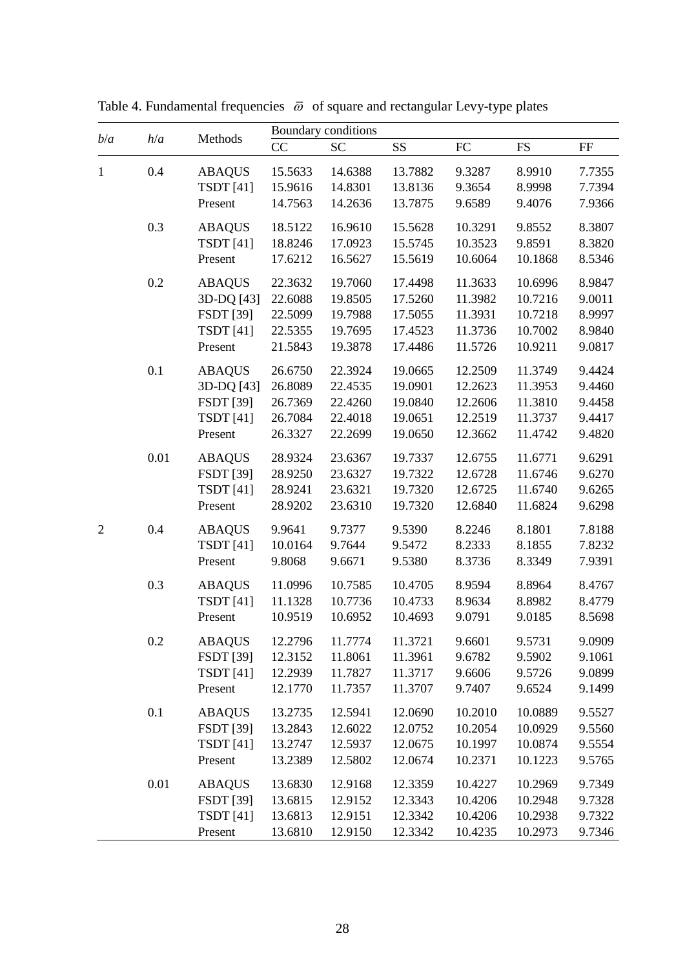| CC<br>SS<br><b>SC</b><br>${\rm FC}$<br><b>FS</b><br>$\rm FF$<br>0.4<br>8.9910<br><b>ABAQUS</b><br>15.5633<br>14.6388<br>13.7882<br>9.3287<br>7.7355<br>14.8301<br>13.8136<br>8.9998<br><b>TSDT</b> [41]<br>15.9616<br>9.3654<br>7.7394<br>13.7875<br>Present<br>14.7563<br>14.2636<br>9.6589<br>9.4076<br>7.9366<br>0.3<br>9.8552<br>8.3807<br><b>ABAQUS</b><br>18.5122<br>16.9610<br>15.5628<br>10.3291<br>17.0923<br>15.5745<br>10.3523<br>9.8591<br>8.3820<br><b>TSDT</b> [41]<br>18.8246<br>10.6064<br>10.1868<br>8.5346<br>Present<br>17.6212<br>16.5627<br>15.5619<br>0.2<br>8.9847<br><b>ABAQUS</b><br>22.3632<br>19.7060<br>17.4498<br>11.3633<br>10.6996<br>9.0011<br>3D-DQ [43]<br>22.6088<br>19.8505<br>17.5260<br>11.3982<br>10.7216<br><b>FSDT</b> [39]<br>22.5099<br>11.3931<br>10.7218<br>8.9997<br>19.7988<br>17.5055<br><b>TSDT</b> [41]<br>11.3736<br>10.7002<br>8.9840<br>22.5355<br>19.7695<br>17.4523<br>9.0817<br>Present<br>21.5843<br>19.3878<br>17.4486<br>11.5726<br>10.9211<br>0.1<br>11.3749<br>9.4424<br><b>ABAQUS</b><br>26.6750<br>22.3924<br>19.0665<br>12.2509<br>3D-DQ [43]<br>26.8089<br>19.0901<br>12.2623<br>11.3953<br>9.4460<br>22.4535<br><b>FSDT</b> [39]<br>11.3810<br>26.7369<br>22.4260<br>19.0840<br>12.2606<br>9.4458<br><b>TSDT</b> [41]<br>22.4018<br>19.0651<br>12.2519<br>26.7084<br>11.3737<br>9.4417<br>Present<br>22.2699<br>19.0650<br>12.3662<br>11.4742<br>9.4820<br>26.3327<br>0.01<br>11.6771<br>9.6291<br><b>ABAQUS</b><br>28.9324<br>23.6367<br>19.7337<br>12.6755<br><b>FSDT</b> [39]<br>28.9250<br>23.6327<br>19.7322<br>12.6728<br>11.6746<br>9.6270<br><b>TSDT</b> [41]<br>12.6725<br>11.6740<br>9.6265<br>28.9241<br>23.6321<br>19.7320<br>9.6298<br>Present<br>28.9202<br>23.6310<br>19.7320<br>12.6840<br>11.6824<br>0.4<br>8.1801<br>7.8188<br>$\overline{2}$<br>9.9641<br>9.7377<br>9.5390<br>8.2246<br><b>ABAQUS</b><br><b>TSDT</b> [41]<br>10.0164<br>8.1855<br>9.7644<br>9.5472<br>8.2333<br>7.8232<br>9.6671<br>9.5380<br>Present<br>9.8068<br>8.3736<br>8.3349<br>7.9391<br>0.3<br>8.8964<br>8.4767<br><b>ABAQUS</b><br>11.0996<br>10.7585<br>10.4705<br>8.9594<br><b>TSDT</b> [41]<br>11.1328<br>10.7736<br>10.4733<br>8.9634<br>8.8982<br>8.4779<br>10.9519<br>9.0791<br>9.0185<br>Present<br>10.6952<br>10.4693<br>8.5698<br>12.2796<br>11.7774<br>11.3721<br>9.6601<br>9.5731<br>9.0909<br><b>ABAQUS</b><br>0.2<br><b>FSDT</b> [39]<br>12.3152<br>11.8061<br>11.3961<br>9.6782<br>9.5902<br>9.1061<br><b>TSDT</b> [41]<br>9.0899<br>12.2939<br>11.7827<br>11.3717<br>9.6606<br>9.5726<br>9.6524<br>Present<br>12.1770<br>11.3707<br>9.7407<br>9.1499<br>11.7357<br>0.1<br><b>ABAQUS</b><br>13.2735<br>12.5941<br>12.0690<br>10.2010<br>10.0889<br>9.5527<br><b>FSDT</b> [39]<br>12.6022<br>12.0752<br>10.2054<br>10.0929<br>9.5560<br>13.2843<br><b>TSDT</b> [41]<br>12.5937<br>12.0675<br>10.1997<br>10.0874<br>9.5554<br>13.2747<br>Present<br>13.2389<br>12.5802<br>12.0674<br>10.2371<br>10.1223<br>9.5765<br>0.01<br>9.7349<br><b>ABAQUS</b><br>13.6830<br>12.9168<br>12.3359<br>10.4227<br>10.2969<br><b>FSDT</b> [39]<br>13.6815<br>12.9152<br>12.3343<br>10.4206<br>10.2948<br>9.7328<br><b>TSDT</b> [41]<br>13.6813<br>12.9151<br>12.3342<br>10.4206<br>10.2938<br>9.7322 | b/a          | h/a | Methods | Boundary conditions |         |         |         |         |        |  |
|------------------------------------------------------------------------------------------------------------------------------------------------------------------------------------------------------------------------------------------------------------------------------------------------------------------------------------------------------------------------------------------------------------------------------------------------------------------------------------------------------------------------------------------------------------------------------------------------------------------------------------------------------------------------------------------------------------------------------------------------------------------------------------------------------------------------------------------------------------------------------------------------------------------------------------------------------------------------------------------------------------------------------------------------------------------------------------------------------------------------------------------------------------------------------------------------------------------------------------------------------------------------------------------------------------------------------------------------------------------------------------------------------------------------------------------------------------------------------------------------------------------------------------------------------------------------------------------------------------------------------------------------------------------------------------------------------------------------------------------------------------------------------------------------------------------------------------------------------------------------------------------------------------------------------------------------------------------------------------------------------------------------------------------------------------------------------------------------------------------------------------------------------------------------------------------------------------------------------------------------------------------------------------------------------------------------------------------------------------------------------------------------------------------------------------------------------------------------------------------------------------------------------------------------------------------------------------------------------------------------------------------------------------------------------------------------------------------------------------------------------------------------------------------------------------------------------------------------------------------------------------------------------------------------------------------------------------------------------------------------------------------------------------------------------------------------------------------------------------------------------------------------------------------------------------------------------------------------------------------------------------------|--------------|-----|---------|---------------------|---------|---------|---------|---------|--------|--|
|                                                                                                                                                                                                                                                                                                                                                                                                                                                                                                                                                                                                                                                                                                                                                                                                                                                                                                                                                                                                                                                                                                                                                                                                                                                                                                                                                                                                                                                                                                                                                                                                                                                                                                                                                                                                                                                                                                                                                                                                                                                                                                                                                                                                                                                                                                                                                                                                                                                                                                                                                                                                                                                                                                                                                                                                                                                                                                                                                                                                                                                                                                                                                                                                                                                                  |              |     |         |                     |         |         |         |         |        |  |
|                                                                                                                                                                                                                                                                                                                                                                                                                                                                                                                                                                                                                                                                                                                                                                                                                                                                                                                                                                                                                                                                                                                                                                                                                                                                                                                                                                                                                                                                                                                                                                                                                                                                                                                                                                                                                                                                                                                                                                                                                                                                                                                                                                                                                                                                                                                                                                                                                                                                                                                                                                                                                                                                                                                                                                                                                                                                                                                                                                                                                                                                                                                                                                                                                                                                  | $\mathbf{1}$ |     |         |                     |         |         |         |         |        |  |
|                                                                                                                                                                                                                                                                                                                                                                                                                                                                                                                                                                                                                                                                                                                                                                                                                                                                                                                                                                                                                                                                                                                                                                                                                                                                                                                                                                                                                                                                                                                                                                                                                                                                                                                                                                                                                                                                                                                                                                                                                                                                                                                                                                                                                                                                                                                                                                                                                                                                                                                                                                                                                                                                                                                                                                                                                                                                                                                                                                                                                                                                                                                                                                                                                                                                  |              |     |         |                     |         |         |         |         |        |  |
|                                                                                                                                                                                                                                                                                                                                                                                                                                                                                                                                                                                                                                                                                                                                                                                                                                                                                                                                                                                                                                                                                                                                                                                                                                                                                                                                                                                                                                                                                                                                                                                                                                                                                                                                                                                                                                                                                                                                                                                                                                                                                                                                                                                                                                                                                                                                                                                                                                                                                                                                                                                                                                                                                                                                                                                                                                                                                                                                                                                                                                                                                                                                                                                                                                                                  |              |     |         |                     |         |         |         |         |        |  |
|                                                                                                                                                                                                                                                                                                                                                                                                                                                                                                                                                                                                                                                                                                                                                                                                                                                                                                                                                                                                                                                                                                                                                                                                                                                                                                                                                                                                                                                                                                                                                                                                                                                                                                                                                                                                                                                                                                                                                                                                                                                                                                                                                                                                                                                                                                                                                                                                                                                                                                                                                                                                                                                                                                                                                                                                                                                                                                                                                                                                                                                                                                                                                                                                                                                                  |              |     |         |                     |         |         |         |         |        |  |
|                                                                                                                                                                                                                                                                                                                                                                                                                                                                                                                                                                                                                                                                                                                                                                                                                                                                                                                                                                                                                                                                                                                                                                                                                                                                                                                                                                                                                                                                                                                                                                                                                                                                                                                                                                                                                                                                                                                                                                                                                                                                                                                                                                                                                                                                                                                                                                                                                                                                                                                                                                                                                                                                                                                                                                                                                                                                                                                                                                                                                                                                                                                                                                                                                                                                  |              |     |         |                     |         |         |         |         |        |  |
|                                                                                                                                                                                                                                                                                                                                                                                                                                                                                                                                                                                                                                                                                                                                                                                                                                                                                                                                                                                                                                                                                                                                                                                                                                                                                                                                                                                                                                                                                                                                                                                                                                                                                                                                                                                                                                                                                                                                                                                                                                                                                                                                                                                                                                                                                                                                                                                                                                                                                                                                                                                                                                                                                                                                                                                                                                                                                                                                                                                                                                                                                                                                                                                                                                                                  |              |     |         |                     |         |         |         |         |        |  |
|                                                                                                                                                                                                                                                                                                                                                                                                                                                                                                                                                                                                                                                                                                                                                                                                                                                                                                                                                                                                                                                                                                                                                                                                                                                                                                                                                                                                                                                                                                                                                                                                                                                                                                                                                                                                                                                                                                                                                                                                                                                                                                                                                                                                                                                                                                                                                                                                                                                                                                                                                                                                                                                                                                                                                                                                                                                                                                                                                                                                                                                                                                                                                                                                                                                                  |              |     |         |                     |         |         |         |         |        |  |
|                                                                                                                                                                                                                                                                                                                                                                                                                                                                                                                                                                                                                                                                                                                                                                                                                                                                                                                                                                                                                                                                                                                                                                                                                                                                                                                                                                                                                                                                                                                                                                                                                                                                                                                                                                                                                                                                                                                                                                                                                                                                                                                                                                                                                                                                                                                                                                                                                                                                                                                                                                                                                                                                                                                                                                                                                                                                                                                                                                                                                                                                                                                                                                                                                                                                  |              |     |         |                     |         |         |         |         |        |  |
|                                                                                                                                                                                                                                                                                                                                                                                                                                                                                                                                                                                                                                                                                                                                                                                                                                                                                                                                                                                                                                                                                                                                                                                                                                                                                                                                                                                                                                                                                                                                                                                                                                                                                                                                                                                                                                                                                                                                                                                                                                                                                                                                                                                                                                                                                                                                                                                                                                                                                                                                                                                                                                                                                                                                                                                                                                                                                                                                                                                                                                                                                                                                                                                                                                                                  |              |     |         |                     |         |         |         |         |        |  |
|                                                                                                                                                                                                                                                                                                                                                                                                                                                                                                                                                                                                                                                                                                                                                                                                                                                                                                                                                                                                                                                                                                                                                                                                                                                                                                                                                                                                                                                                                                                                                                                                                                                                                                                                                                                                                                                                                                                                                                                                                                                                                                                                                                                                                                                                                                                                                                                                                                                                                                                                                                                                                                                                                                                                                                                                                                                                                                                                                                                                                                                                                                                                                                                                                                                                  |              |     |         |                     |         |         |         |         |        |  |
|                                                                                                                                                                                                                                                                                                                                                                                                                                                                                                                                                                                                                                                                                                                                                                                                                                                                                                                                                                                                                                                                                                                                                                                                                                                                                                                                                                                                                                                                                                                                                                                                                                                                                                                                                                                                                                                                                                                                                                                                                                                                                                                                                                                                                                                                                                                                                                                                                                                                                                                                                                                                                                                                                                                                                                                                                                                                                                                                                                                                                                                                                                                                                                                                                                                                  |              |     |         |                     |         |         |         |         |        |  |
|                                                                                                                                                                                                                                                                                                                                                                                                                                                                                                                                                                                                                                                                                                                                                                                                                                                                                                                                                                                                                                                                                                                                                                                                                                                                                                                                                                                                                                                                                                                                                                                                                                                                                                                                                                                                                                                                                                                                                                                                                                                                                                                                                                                                                                                                                                                                                                                                                                                                                                                                                                                                                                                                                                                                                                                                                                                                                                                                                                                                                                                                                                                                                                                                                                                                  |              |     |         |                     |         |         |         |         |        |  |
|                                                                                                                                                                                                                                                                                                                                                                                                                                                                                                                                                                                                                                                                                                                                                                                                                                                                                                                                                                                                                                                                                                                                                                                                                                                                                                                                                                                                                                                                                                                                                                                                                                                                                                                                                                                                                                                                                                                                                                                                                                                                                                                                                                                                                                                                                                                                                                                                                                                                                                                                                                                                                                                                                                                                                                                                                                                                                                                                                                                                                                                                                                                                                                                                                                                                  |              |     |         |                     |         |         |         |         |        |  |
|                                                                                                                                                                                                                                                                                                                                                                                                                                                                                                                                                                                                                                                                                                                                                                                                                                                                                                                                                                                                                                                                                                                                                                                                                                                                                                                                                                                                                                                                                                                                                                                                                                                                                                                                                                                                                                                                                                                                                                                                                                                                                                                                                                                                                                                                                                                                                                                                                                                                                                                                                                                                                                                                                                                                                                                                                                                                                                                                                                                                                                                                                                                                                                                                                                                                  |              |     |         |                     |         |         |         |         |        |  |
|                                                                                                                                                                                                                                                                                                                                                                                                                                                                                                                                                                                                                                                                                                                                                                                                                                                                                                                                                                                                                                                                                                                                                                                                                                                                                                                                                                                                                                                                                                                                                                                                                                                                                                                                                                                                                                                                                                                                                                                                                                                                                                                                                                                                                                                                                                                                                                                                                                                                                                                                                                                                                                                                                                                                                                                                                                                                                                                                                                                                                                                                                                                                                                                                                                                                  |              |     |         |                     |         |         |         |         |        |  |
|                                                                                                                                                                                                                                                                                                                                                                                                                                                                                                                                                                                                                                                                                                                                                                                                                                                                                                                                                                                                                                                                                                                                                                                                                                                                                                                                                                                                                                                                                                                                                                                                                                                                                                                                                                                                                                                                                                                                                                                                                                                                                                                                                                                                                                                                                                                                                                                                                                                                                                                                                                                                                                                                                                                                                                                                                                                                                                                                                                                                                                                                                                                                                                                                                                                                  |              |     |         |                     |         |         |         |         |        |  |
|                                                                                                                                                                                                                                                                                                                                                                                                                                                                                                                                                                                                                                                                                                                                                                                                                                                                                                                                                                                                                                                                                                                                                                                                                                                                                                                                                                                                                                                                                                                                                                                                                                                                                                                                                                                                                                                                                                                                                                                                                                                                                                                                                                                                                                                                                                                                                                                                                                                                                                                                                                                                                                                                                                                                                                                                                                                                                                                                                                                                                                                                                                                                                                                                                                                                  |              |     |         |                     |         |         |         |         |        |  |
|                                                                                                                                                                                                                                                                                                                                                                                                                                                                                                                                                                                                                                                                                                                                                                                                                                                                                                                                                                                                                                                                                                                                                                                                                                                                                                                                                                                                                                                                                                                                                                                                                                                                                                                                                                                                                                                                                                                                                                                                                                                                                                                                                                                                                                                                                                                                                                                                                                                                                                                                                                                                                                                                                                                                                                                                                                                                                                                                                                                                                                                                                                                                                                                                                                                                  |              |     |         |                     |         |         |         |         |        |  |
|                                                                                                                                                                                                                                                                                                                                                                                                                                                                                                                                                                                                                                                                                                                                                                                                                                                                                                                                                                                                                                                                                                                                                                                                                                                                                                                                                                                                                                                                                                                                                                                                                                                                                                                                                                                                                                                                                                                                                                                                                                                                                                                                                                                                                                                                                                                                                                                                                                                                                                                                                                                                                                                                                                                                                                                                                                                                                                                                                                                                                                                                                                                                                                                                                                                                  |              |     |         |                     |         |         |         |         |        |  |
|                                                                                                                                                                                                                                                                                                                                                                                                                                                                                                                                                                                                                                                                                                                                                                                                                                                                                                                                                                                                                                                                                                                                                                                                                                                                                                                                                                                                                                                                                                                                                                                                                                                                                                                                                                                                                                                                                                                                                                                                                                                                                                                                                                                                                                                                                                                                                                                                                                                                                                                                                                                                                                                                                                                                                                                                                                                                                                                                                                                                                                                                                                                                                                                                                                                                  |              |     |         |                     |         |         |         |         |        |  |
|                                                                                                                                                                                                                                                                                                                                                                                                                                                                                                                                                                                                                                                                                                                                                                                                                                                                                                                                                                                                                                                                                                                                                                                                                                                                                                                                                                                                                                                                                                                                                                                                                                                                                                                                                                                                                                                                                                                                                                                                                                                                                                                                                                                                                                                                                                                                                                                                                                                                                                                                                                                                                                                                                                                                                                                                                                                                                                                                                                                                                                                                                                                                                                                                                                                                  |              |     |         |                     |         |         |         |         |        |  |
|                                                                                                                                                                                                                                                                                                                                                                                                                                                                                                                                                                                                                                                                                                                                                                                                                                                                                                                                                                                                                                                                                                                                                                                                                                                                                                                                                                                                                                                                                                                                                                                                                                                                                                                                                                                                                                                                                                                                                                                                                                                                                                                                                                                                                                                                                                                                                                                                                                                                                                                                                                                                                                                                                                                                                                                                                                                                                                                                                                                                                                                                                                                                                                                                                                                                  |              |     |         |                     |         |         |         |         |        |  |
|                                                                                                                                                                                                                                                                                                                                                                                                                                                                                                                                                                                                                                                                                                                                                                                                                                                                                                                                                                                                                                                                                                                                                                                                                                                                                                                                                                                                                                                                                                                                                                                                                                                                                                                                                                                                                                                                                                                                                                                                                                                                                                                                                                                                                                                                                                                                                                                                                                                                                                                                                                                                                                                                                                                                                                                                                                                                                                                                                                                                                                                                                                                                                                                                                                                                  |              |     |         |                     |         |         |         |         |        |  |
|                                                                                                                                                                                                                                                                                                                                                                                                                                                                                                                                                                                                                                                                                                                                                                                                                                                                                                                                                                                                                                                                                                                                                                                                                                                                                                                                                                                                                                                                                                                                                                                                                                                                                                                                                                                                                                                                                                                                                                                                                                                                                                                                                                                                                                                                                                                                                                                                                                                                                                                                                                                                                                                                                                                                                                                                                                                                                                                                                                                                                                                                                                                                                                                                                                                                  |              |     |         |                     |         |         |         |         |        |  |
|                                                                                                                                                                                                                                                                                                                                                                                                                                                                                                                                                                                                                                                                                                                                                                                                                                                                                                                                                                                                                                                                                                                                                                                                                                                                                                                                                                                                                                                                                                                                                                                                                                                                                                                                                                                                                                                                                                                                                                                                                                                                                                                                                                                                                                                                                                                                                                                                                                                                                                                                                                                                                                                                                                                                                                                                                                                                                                                                                                                                                                                                                                                                                                                                                                                                  |              |     |         |                     |         |         |         |         |        |  |
|                                                                                                                                                                                                                                                                                                                                                                                                                                                                                                                                                                                                                                                                                                                                                                                                                                                                                                                                                                                                                                                                                                                                                                                                                                                                                                                                                                                                                                                                                                                                                                                                                                                                                                                                                                                                                                                                                                                                                                                                                                                                                                                                                                                                                                                                                                                                                                                                                                                                                                                                                                                                                                                                                                                                                                                                                                                                                                                                                                                                                                                                                                                                                                                                                                                                  |              |     |         |                     |         |         |         |         |        |  |
|                                                                                                                                                                                                                                                                                                                                                                                                                                                                                                                                                                                                                                                                                                                                                                                                                                                                                                                                                                                                                                                                                                                                                                                                                                                                                                                                                                                                                                                                                                                                                                                                                                                                                                                                                                                                                                                                                                                                                                                                                                                                                                                                                                                                                                                                                                                                                                                                                                                                                                                                                                                                                                                                                                                                                                                                                                                                                                                                                                                                                                                                                                                                                                                                                                                                  |              |     |         |                     |         |         |         |         |        |  |
|                                                                                                                                                                                                                                                                                                                                                                                                                                                                                                                                                                                                                                                                                                                                                                                                                                                                                                                                                                                                                                                                                                                                                                                                                                                                                                                                                                                                                                                                                                                                                                                                                                                                                                                                                                                                                                                                                                                                                                                                                                                                                                                                                                                                                                                                                                                                                                                                                                                                                                                                                                                                                                                                                                                                                                                                                                                                                                                                                                                                                                                                                                                                                                                                                                                                  |              |     |         |                     |         |         |         |         |        |  |
|                                                                                                                                                                                                                                                                                                                                                                                                                                                                                                                                                                                                                                                                                                                                                                                                                                                                                                                                                                                                                                                                                                                                                                                                                                                                                                                                                                                                                                                                                                                                                                                                                                                                                                                                                                                                                                                                                                                                                                                                                                                                                                                                                                                                                                                                                                                                                                                                                                                                                                                                                                                                                                                                                                                                                                                                                                                                                                                                                                                                                                                                                                                                                                                                                                                                  |              |     |         |                     |         |         |         |         |        |  |
|                                                                                                                                                                                                                                                                                                                                                                                                                                                                                                                                                                                                                                                                                                                                                                                                                                                                                                                                                                                                                                                                                                                                                                                                                                                                                                                                                                                                                                                                                                                                                                                                                                                                                                                                                                                                                                                                                                                                                                                                                                                                                                                                                                                                                                                                                                                                                                                                                                                                                                                                                                                                                                                                                                                                                                                                                                                                                                                                                                                                                                                                                                                                                                                                                                                                  |              |     |         |                     |         |         |         |         |        |  |
|                                                                                                                                                                                                                                                                                                                                                                                                                                                                                                                                                                                                                                                                                                                                                                                                                                                                                                                                                                                                                                                                                                                                                                                                                                                                                                                                                                                                                                                                                                                                                                                                                                                                                                                                                                                                                                                                                                                                                                                                                                                                                                                                                                                                                                                                                                                                                                                                                                                                                                                                                                                                                                                                                                                                                                                                                                                                                                                                                                                                                                                                                                                                                                                                                                                                  |              |     |         |                     |         |         |         |         |        |  |
|                                                                                                                                                                                                                                                                                                                                                                                                                                                                                                                                                                                                                                                                                                                                                                                                                                                                                                                                                                                                                                                                                                                                                                                                                                                                                                                                                                                                                                                                                                                                                                                                                                                                                                                                                                                                                                                                                                                                                                                                                                                                                                                                                                                                                                                                                                                                                                                                                                                                                                                                                                                                                                                                                                                                                                                                                                                                                                                                                                                                                                                                                                                                                                                                                                                                  |              |     |         |                     |         |         |         |         |        |  |
|                                                                                                                                                                                                                                                                                                                                                                                                                                                                                                                                                                                                                                                                                                                                                                                                                                                                                                                                                                                                                                                                                                                                                                                                                                                                                                                                                                                                                                                                                                                                                                                                                                                                                                                                                                                                                                                                                                                                                                                                                                                                                                                                                                                                                                                                                                                                                                                                                                                                                                                                                                                                                                                                                                                                                                                                                                                                                                                                                                                                                                                                                                                                                                                                                                                                  |              |     |         |                     |         |         |         |         |        |  |
|                                                                                                                                                                                                                                                                                                                                                                                                                                                                                                                                                                                                                                                                                                                                                                                                                                                                                                                                                                                                                                                                                                                                                                                                                                                                                                                                                                                                                                                                                                                                                                                                                                                                                                                                                                                                                                                                                                                                                                                                                                                                                                                                                                                                                                                                                                                                                                                                                                                                                                                                                                                                                                                                                                                                                                                                                                                                                                                                                                                                                                                                                                                                                                                                                                                                  |              |     |         |                     |         |         |         |         |        |  |
|                                                                                                                                                                                                                                                                                                                                                                                                                                                                                                                                                                                                                                                                                                                                                                                                                                                                                                                                                                                                                                                                                                                                                                                                                                                                                                                                                                                                                                                                                                                                                                                                                                                                                                                                                                                                                                                                                                                                                                                                                                                                                                                                                                                                                                                                                                                                                                                                                                                                                                                                                                                                                                                                                                                                                                                                                                                                                                                                                                                                                                                                                                                                                                                                                                                                  |              |     |         |                     |         |         |         |         |        |  |
|                                                                                                                                                                                                                                                                                                                                                                                                                                                                                                                                                                                                                                                                                                                                                                                                                                                                                                                                                                                                                                                                                                                                                                                                                                                                                                                                                                                                                                                                                                                                                                                                                                                                                                                                                                                                                                                                                                                                                                                                                                                                                                                                                                                                                                                                                                                                                                                                                                                                                                                                                                                                                                                                                                                                                                                                                                                                                                                                                                                                                                                                                                                                                                                                                                                                  |              |     |         |                     |         |         |         |         |        |  |
|                                                                                                                                                                                                                                                                                                                                                                                                                                                                                                                                                                                                                                                                                                                                                                                                                                                                                                                                                                                                                                                                                                                                                                                                                                                                                                                                                                                                                                                                                                                                                                                                                                                                                                                                                                                                                                                                                                                                                                                                                                                                                                                                                                                                                                                                                                                                                                                                                                                                                                                                                                                                                                                                                                                                                                                                                                                                                                                                                                                                                                                                                                                                                                                                                                                                  |              |     |         |                     |         |         |         |         |        |  |
|                                                                                                                                                                                                                                                                                                                                                                                                                                                                                                                                                                                                                                                                                                                                                                                                                                                                                                                                                                                                                                                                                                                                                                                                                                                                                                                                                                                                                                                                                                                                                                                                                                                                                                                                                                                                                                                                                                                                                                                                                                                                                                                                                                                                                                                                                                                                                                                                                                                                                                                                                                                                                                                                                                                                                                                                                                                                                                                                                                                                                                                                                                                                                                                                                                                                  |              |     |         |                     |         |         |         |         |        |  |
|                                                                                                                                                                                                                                                                                                                                                                                                                                                                                                                                                                                                                                                                                                                                                                                                                                                                                                                                                                                                                                                                                                                                                                                                                                                                                                                                                                                                                                                                                                                                                                                                                                                                                                                                                                                                                                                                                                                                                                                                                                                                                                                                                                                                                                                                                                                                                                                                                                                                                                                                                                                                                                                                                                                                                                                                                                                                                                                                                                                                                                                                                                                                                                                                                                                                  |              |     | Present | 13.6810             | 12.9150 | 12.3342 | 10.4235 | 10.2973 | 9.7346 |  |

<span id="page-28-0"></span>Table 4. Fundamental frequencies  $\bar{\omega}$  of square and rectangular Levy-type plates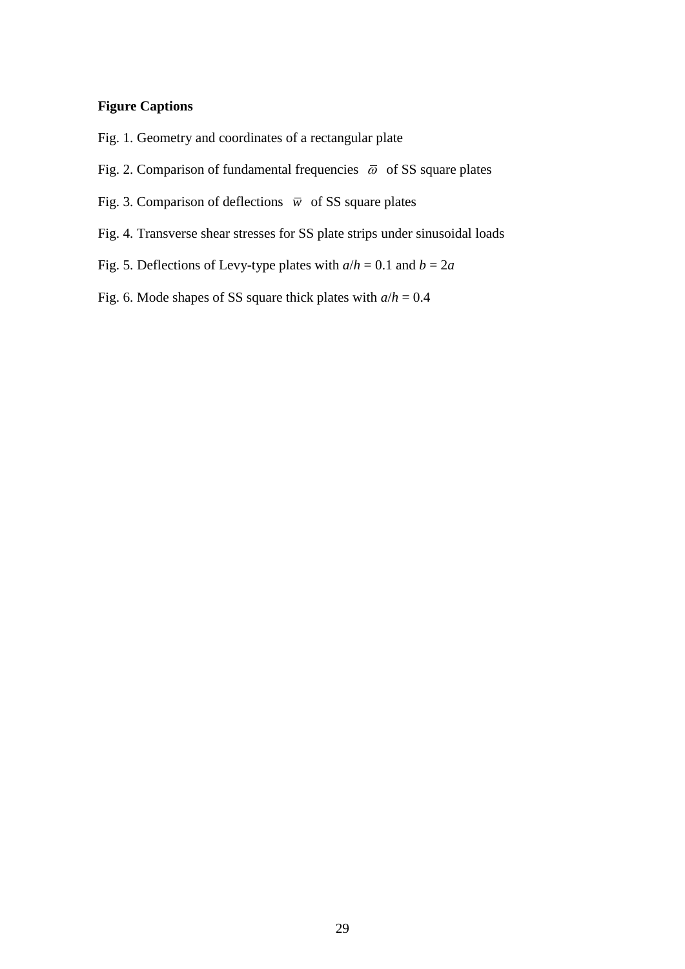## **Figure Captions**

- [Fig. 1. Geometry and coordinates of a rectangular plate](#page-30-0)
- [Fig. 2. Comparison of fundamental frequencies](#page-30-1)  $\bar{\omega}$  of SS square plates
- [Fig. 3. Comparison of deflections](#page-31-0)  $\overline{w}$  of SS square plates
- [Fig. 4. Transverse shear stresses for SS plate strips under sinusoidal loads](#page-31-1)
- [Fig. 5. Deflections of Levy-type plates with](#page-32-0)  $a/h = 0.1$  and  $b = 2a$
- [Fig. 6. Mode shapes of SS square thick plates with](#page-32-1) *a*/*h* = 0.4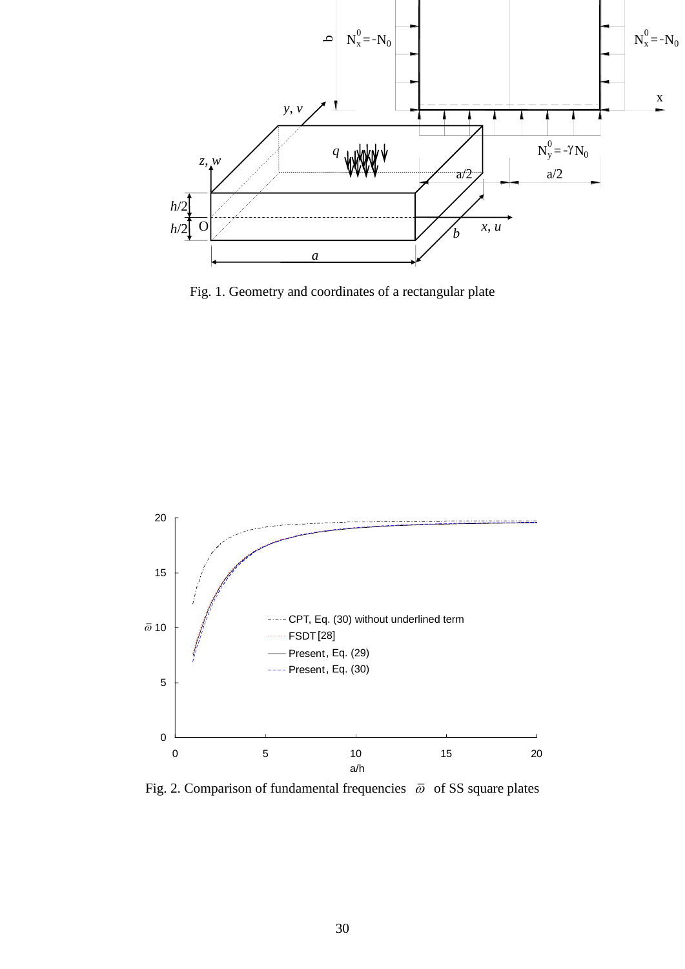

<span id="page-30-0"></span>Fig. 1. Geometry and coordinates of a rectangular plate



<span id="page-30-1"></span>Fig. 2. Comparison of fundamental frequencies  $\bar{\omega}$  of SS square plates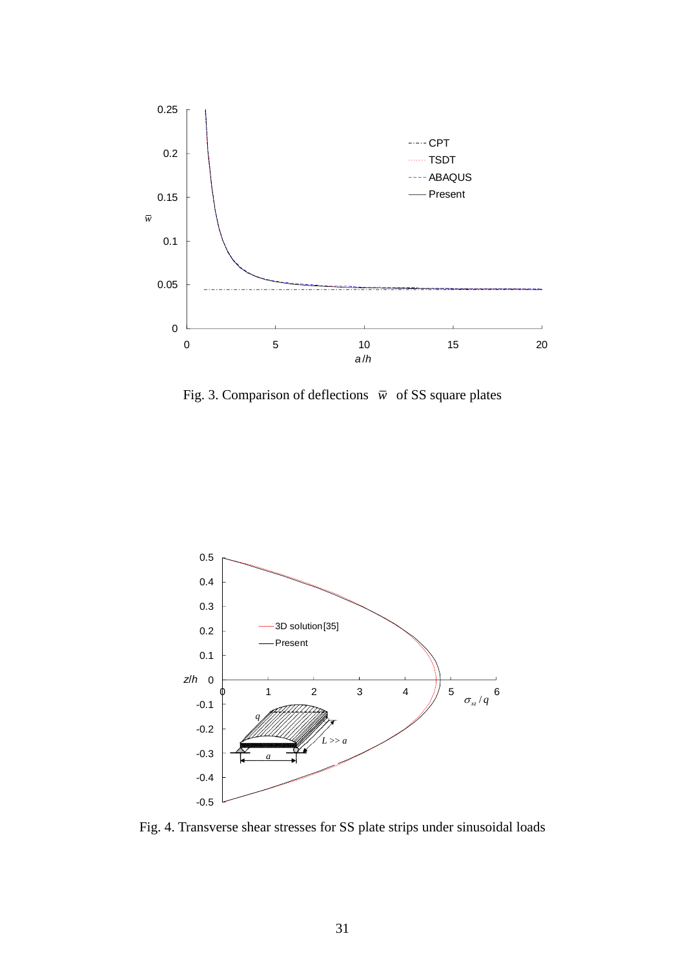

<span id="page-31-0"></span>Fig. 3. Comparison of deflections  $\overline{w}$  of SS square plates



<span id="page-31-1"></span>Fig. 4. Transverse shear stresses for SS plate strips under sinusoidal loads